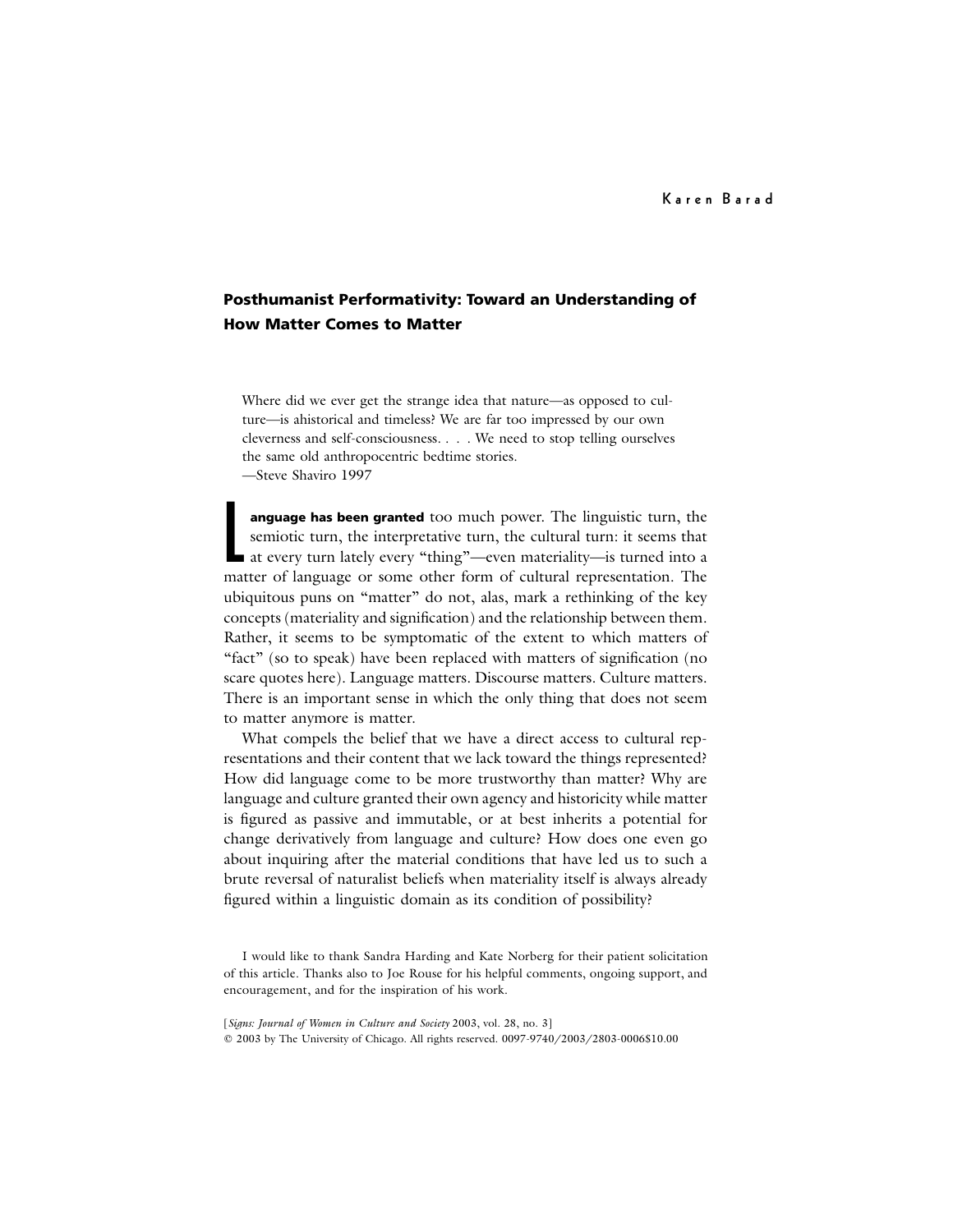# Posthumanist Performativity: Toward an Understanding of How Matter Comes to Matter

Where did we ever get the strange idea that nature—as opposed to culture—is ahistorical and timeless? We are far too impressed by our own cleverness and self-consciousness. . . . We need to stop telling ourselves the same old anthropocentric bedtime stories. —Steve Shaviro 1997

anguage has been granted too much power. The linguistic turn, the semiotic turn, the interpretative turn, the cultural turn: it seems that at every turn lately every "thing"—even materiality—is turned into a matter of lang anguage has been granted too much power. The linguistic turn, the semiotic turn, the interpretative turn, the cultural turn: it seems that at every turn lately every "thing"—even materiality—is turned into a ubiquitous puns on "matter" do not, alas, mark a rethinking of the key concepts (materiality and signification) and the relationship between them. Rather, it seems to be symptomatic of the extent to which matters of "fact" (so to speak) have been replaced with matters of signification (no scare quotes here). Language matters. Discourse matters. Culture matters. There is an important sense in which the only thing that does not seem to matter anymore is matter.

What compels the belief that we have a direct access to cultural representations and their content that we lack toward the things represented? How did language come to be more trustworthy than matter? Why are language and culture granted their own agency and historicity while matter is figured as passive and immutable, or at best inherits a potential for change derivatively from language and culture? How does one even go about inquiring after the material conditions that have led us to such a brute reversal of naturalist beliefs when materiality itself is always already figured within a linguistic domain as its condition of possibility?

I would like to thank Sandra Harding and Kate Norberg for their patient solicitation of this article. Thanks also to Joe Rouse for his helpful comments, ongoing support, and encouragement, and for the inspiration of his work.

<sup>[</sup>*Signs: Journal of Women in Culture and Society* 2003, vol. 28, no. 3] ! 2003 by The University of Chicago. All rights reserved. 0097-9740/2003/2803-0006\$10.00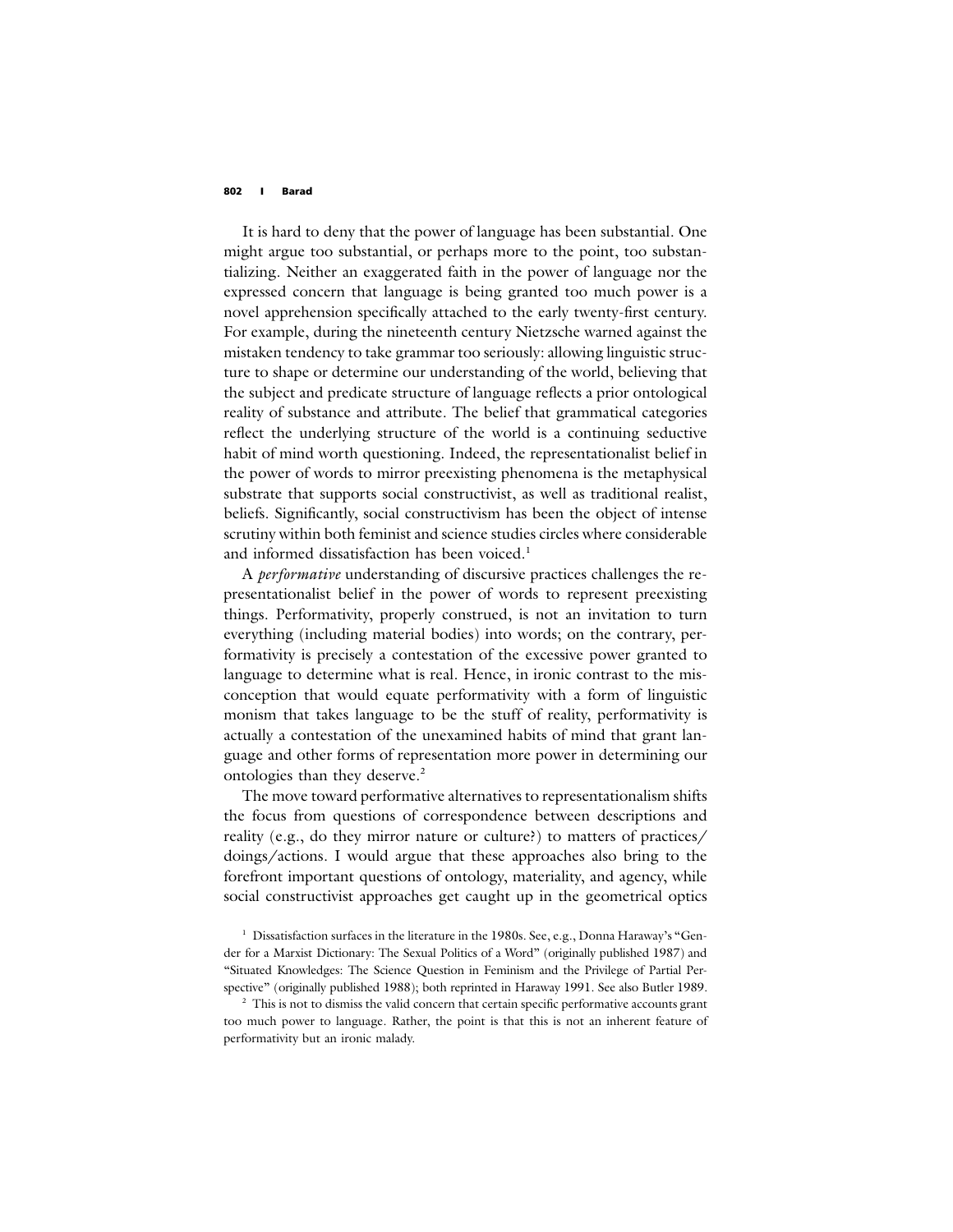It is hard to deny that the power of language has been substantial. One might argue too substantial, or perhaps more to the point, too substantializing. Neither an exaggerated faith in the power of language nor the expressed concern that language is being granted too much power is a novel apprehension specifically attached to the early twenty-first century. For example, during the nineteenth century Nietzsche warned against the mistaken tendency to take grammar too seriously: allowing linguistic structure to shape or determine our understanding of the world, believing that the subject and predicate structure of language reflects a prior ontological reality of substance and attribute. The belief that grammatical categories reflect the underlying structure of the world is a continuing seductive habit of mind worth questioning. Indeed, the representationalist belief in the power of words to mirror preexisting phenomena is the metaphysical substrate that supports social constructivist, as well as traditional realist, beliefs. Significantly, social constructivism has been the object of intense scrutiny within both feminist and science studies circles where considerable and informed dissatisfaction has been voiced.<sup>1</sup>

A *performative* understanding of discursive practices challenges the representationalist belief in the power of words to represent preexisting things. Performativity, properly construed, is not an invitation to turn everything (including material bodies) into words; on the contrary, performativity is precisely a contestation of the excessive power granted to language to determine what is real. Hence, in ironic contrast to the misconception that would equate performativity with a form of linguistic monism that takes language to be the stuff of reality, performativity is actually a contestation of the unexamined habits of mind that grant language and other forms of representation more power in determining our ontologies than they deserve.<sup>2</sup>

The move toward performative alternatives to representationalism shifts the focus from questions of correspondence between descriptions and reality (e.g., do they mirror nature or culture?) to matters of practices/ doings/actions. I would argue that these approaches also bring to the forefront important questions of ontology, materiality, and agency, while social constructivist approaches get caught up in the geometrical optics

<sup>&</sup>lt;sup>1</sup> Dissatisfaction surfaces in the literature in the 1980s. See, e.g., Donna Haraway's "Gender for a Marxist Dictionary: The Sexual Politics of a Word" (originally published 1987) and "Situated Knowledges: The Science Question in Feminism and the Privilege of Partial Perspective" (originally published 1988); both reprinted in Haraway 1991. See also Butler 1989.

<sup>&</sup>lt;sup>2</sup> This is not to dismiss the valid concern that certain specific performative accounts grant too much power to language. Rather, the point is that this is not an inherent feature of performativity but an ironic malady.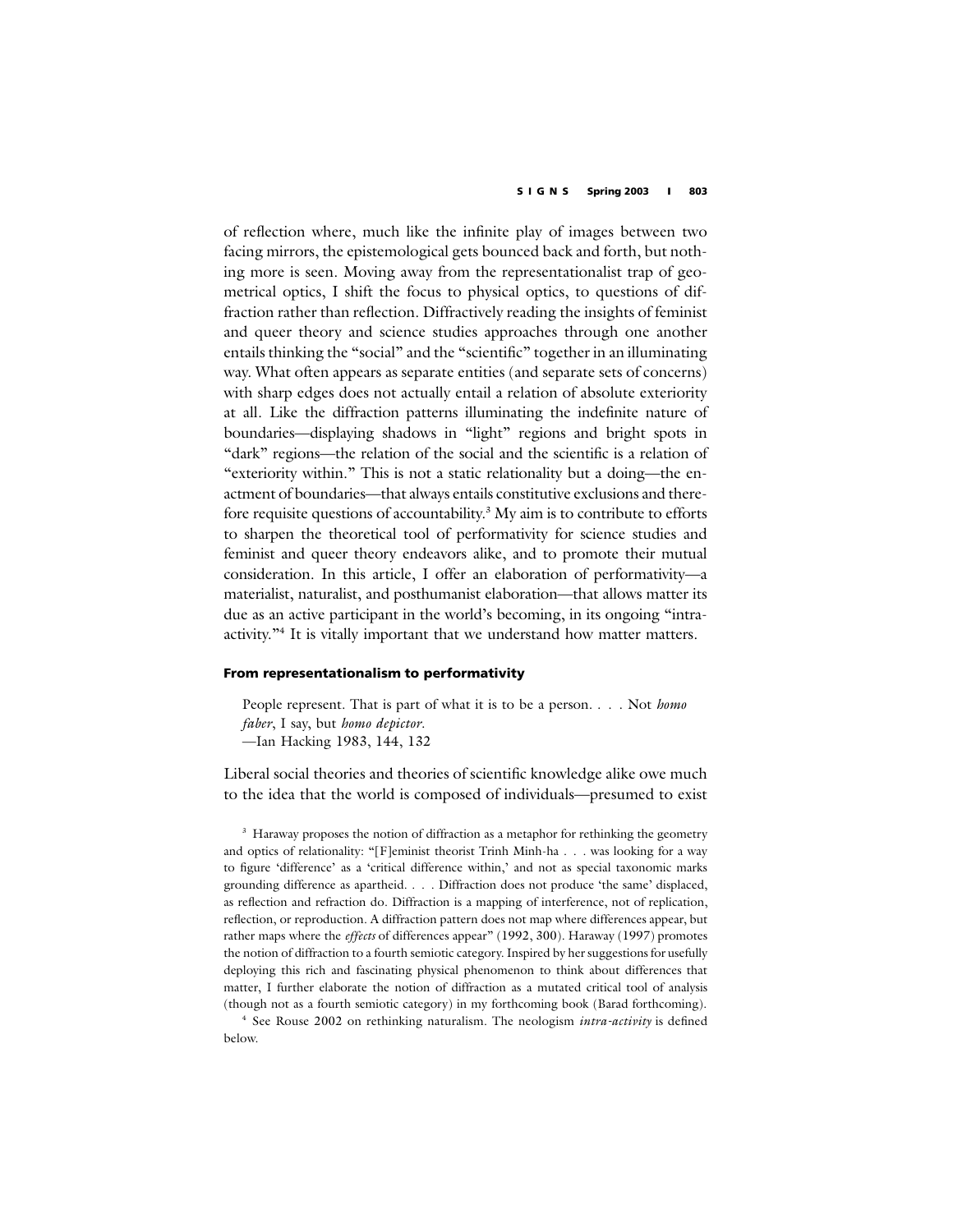of reflection where, much like the infinite play of images between two facing mirrors, the epistemological gets bounced back and forth, but nothing more is seen. Moving away from the representationalist trap of geometrical optics, I shift the focus to physical optics, to questions of diffraction rather than reflection. Diffractively reading the insights of feminist and queer theory and science studies approaches through one another entails thinking the "social" and the "scientific" together in an illuminating way. What often appears as separate entities (and separate sets of concerns) with sharp edges does not actually entail a relation of absolute exteriority at all. Like the diffraction patterns illuminating the indefinite nature of boundaries—displaying shadows in "light" regions and bright spots in "dark" regions—the relation of the social and the scientific is a relation of "exteriority within." This is not a static relationality but a doing—the enactment of boundaries—that always entails constitutive exclusions and therefore requisite questions of accountability.<sup>3</sup> My aim is to contribute to efforts to sharpen the theoretical tool of performativity for science studies and feminist and queer theory endeavors alike, and to promote their mutual consideration. In this article, I offer an elaboration of performativity—a materialist, naturalist, and posthumanist elaboration—that allows matter its due as an active participant in the world's becoming, in its ongoing "intraactivity."4 It is vitally important that we understand how matter matters.

### From representationalism to performativity

People represent. That is part of what it is to be a person. . . . Not *homo faber*, I say, but *homo depictor*. —Ian Hacking 1983, 144, 132

Liberal social theories and theories of scientific knowledge alike owe much to the idea that the world is composed of individuals—presumed to exist

<sup>3</sup> Haraway proposes the notion of diffraction as a metaphor for rethinking the geometry and optics of relationality: "[F]eminist theorist Trinh Minh-ha . . . was looking for a way to figure 'difference' as a 'critical difference within,' and not as special taxonomic marks grounding difference as apartheid. . . . Diffraction does not produce 'the same' displaced, as reflection and refraction do. Diffraction is a mapping of interference, not of replication, reflection, or reproduction. A diffraction pattern does not map where differences appear, but rather maps where the *effects* of differences appear" (1992, 300). Haraway (1997) promotes the notion of diffraction to a fourth semiotic category. Inspired by her suggestions for usefully deploying this rich and fascinating physical phenomenon to think about differences that matter, I further elaborate the notion of diffraction as a mutated critical tool of analysis (though not as a fourth semiotic category) in my forthcoming book (Barad forthcoming).

<sup>4</sup> See Rouse 2002 on rethinking naturalism. The neologism *intra-activity* is defined below.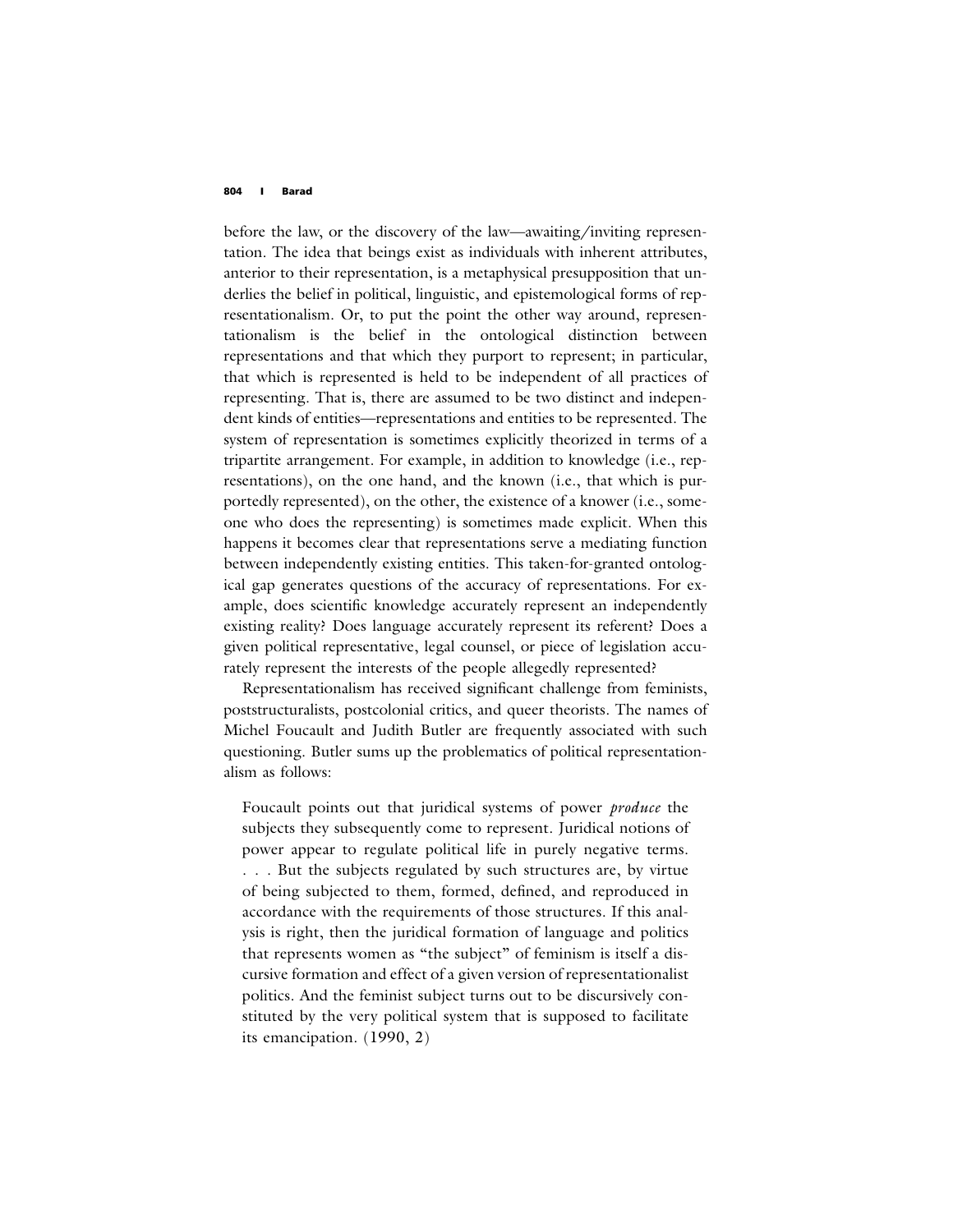before the law, or the discovery of the law—awaiting/inviting representation. The idea that beings exist as individuals with inherent attributes, anterior to their representation, is a metaphysical presupposition that underlies the belief in political, linguistic, and epistemological forms of representationalism. Or, to put the point the other way around, representationalism is the belief in the ontological distinction between representations and that which they purport to represent; in particular, that which is represented is held to be independent of all practices of representing. That is, there are assumed to be two distinct and independent kinds of entities—representations and entities to be represented. The system of representation is sometimes explicitly theorized in terms of a tripartite arrangement. For example, in addition to knowledge (i.e., representations), on the one hand, and the known (i.e., that which is purportedly represented), on the other, the existence of a knower (i.e., someone who does the representing) is sometimes made explicit. When this happens it becomes clear that representations serve a mediating function between independently existing entities. This taken-for-granted ontological gap generates questions of the accuracy of representations. For example, does scientific knowledge accurately represent an independently existing reality? Does language accurately represent its referent? Does a given political representative, legal counsel, or piece of legislation accurately represent the interests of the people allegedly represented?

Representationalism has received significant challenge from feminists, poststructuralists, postcolonial critics, and queer theorists. The names of Michel Foucault and Judith Butler are frequently associated with such questioning. Butler sums up the problematics of political representationalism as follows:

Foucault points out that juridical systems of power *produce* the subjects they subsequently come to represent. Juridical notions of power appear to regulate political life in purely negative terms. . . . But the subjects regulated by such structures are, by virtue of being subjected to them, formed, defined, and reproduced in accordance with the requirements of those structures. If this analysis is right, then the juridical formation of language and politics that represents women as "the subject" of feminism is itself a discursive formation and effect of a given version of representationalist politics. And the feminist subject turns out to be discursively constituted by the very political system that is supposed to facilitate its emancipation. (1990, 2)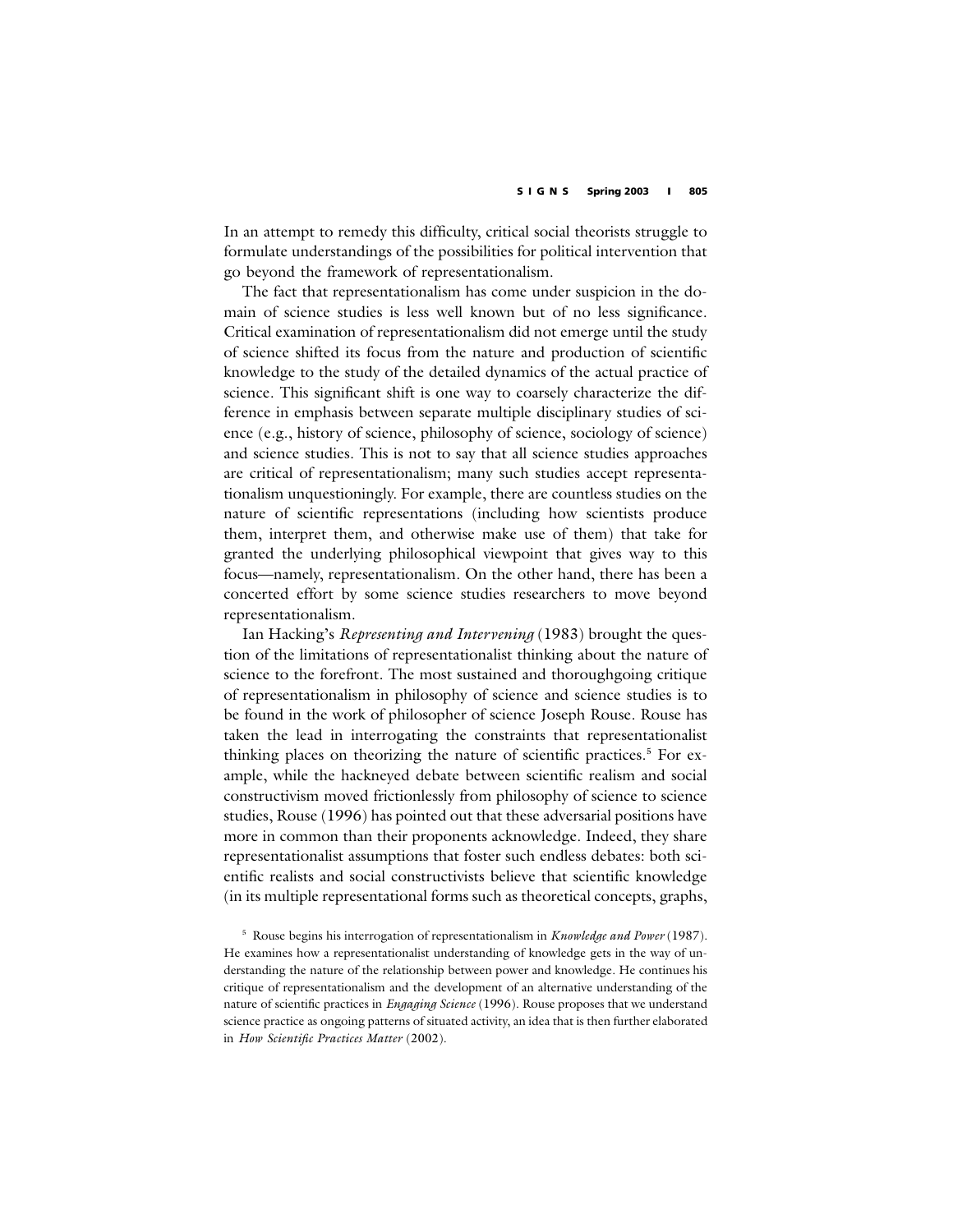In an attempt to remedy this difficulty, critical social theorists struggle to formulate understandings of the possibilities for political intervention that go beyond the framework of representationalism.

The fact that representationalism has come under suspicion in the domain of science studies is less well known but of no less significance. Critical examination of representationalism did not emerge until the study of science shifted its focus from the nature and production of scientific knowledge to the study of the detailed dynamics of the actual practice of science. This significant shift is one way to coarsely characterize the difference in emphasis between separate multiple disciplinary studies of science (e.g., history of science, philosophy of science, sociology of science) and science studies. This is not to say that all science studies approaches are critical of representationalism; many such studies accept representationalism unquestioningly. For example, there are countless studies on the nature of scientific representations (including how scientists produce them, interpret them, and otherwise make use of them) that take for granted the underlying philosophical viewpoint that gives way to this focus—namely, representationalism. On the other hand, there has been a concerted effort by some science studies researchers to move beyond representationalism.

Ian Hacking's *Representing and Intervening* (1983) brought the question of the limitations of representationalist thinking about the nature of science to the forefront. The most sustained and thoroughgoing critique of representationalism in philosophy of science and science studies is to be found in the work of philosopher of science Joseph Rouse. Rouse has taken the lead in interrogating the constraints that representationalist thinking places on theorizing the nature of scientific practices.<sup>5</sup> For example, while the hackneyed debate between scientific realism and social constructivism moved frictionlessly from philosophy of science to science studies, Rouse (1996) has pointed out that these adversarial positions have more in common than their proponents acknowledge. Indeed, they share representationalist assumptions that foster such endless debates: both scientific realists and social constructivists believe that scientific knowledge (in its multiple representational forms such as theoretical concepts, graphs,

<sup>5</sup> Rouse begins his interrogation of representationalism in *Knowledge and Power* (1987). He examines how a representationalist understanding of knowledge gets in the way of understanding the nature of the relationship between power and knowledge. He continues his critique of representationalism and the development of an alternative understanding of the nature of scientific practices in *Engaging Science* (1996). Rouse proposes that we understand science practice as ongoing patterns of situated activity, an idea that is then further elaborated in *How Scientific Practices Matter* (2002).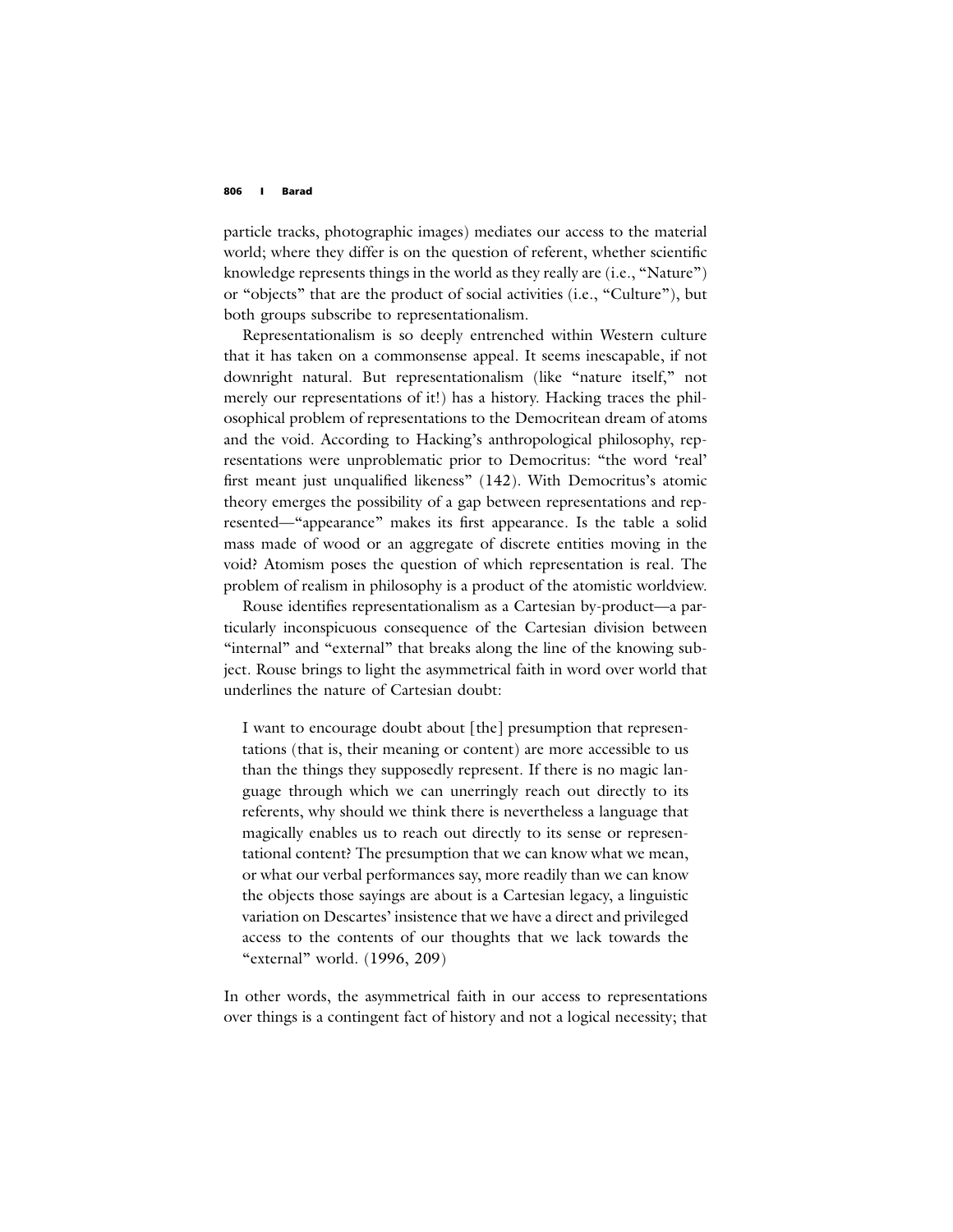particle tracks, photographic images) mediates our access to the material world; where they differ is on the question of referent, whether scientific knowledge represents things in the world as they really are (i.e., "Nature") or "objects" that are the product of social activities (i.e., "Culture"), but both groups subscribe to representationalism.

Representationalism is so deeply entrenched within Western culture that it has taken on a commonsense appeal. It seems inescapable, if not downright natural. But representationalism (like "nature itself," not merely our representations of it!) has a history. Hacking traces the philosophical problem of representations to the Democritean dream of atoms and the void. According to Hacking's anthropological philosophy, representations were unproblematic prior to Democritus: "the word 'real' first meant just unqualified likeness" (142). With Democritus's atomic theory emerges the possibility of a gap between representations and represented—"appearance" makes its first appearance. Is the table a solid mass made of wood or an aggregate of discrete entities moving in the void? Atomism poses the question of which representation is real. The problem of realism in philosophy is a product of the atomistic worldview.

Rouse identifies representationalism as a Cartesian by-product—a particularly inconspicuous consequence of the Cartesian division between "internal" and "external" that breaks along the line of the knowing subject. Rouse brings to light the asymmetrical faith in word over world that underlines the nature of Cartesian doubt:

I want to encourage doubt about [the] presumption that representations (that is, their meaning or content) are more accessible to us than the things they supposedly represent. If there is no magic language through which we can unerringly reach out directly to its referents, why should we think there is nevertheless a language that magically enables us to reach out directly to its sense or representational content? The presumption that we can know what we mean, or what our verbal performances say, more readily than we can know the objects those sayings are about is a Cartesian legacy, a linguistic variation on Descartes' insistence that we have a direct and privileged access to the contents of our thoughts that we lack towards the "external" world. (1996, 209)

In other words, the asymmetrical faith in our access to representations over things is a contingent fact of history and not a logical necessity; that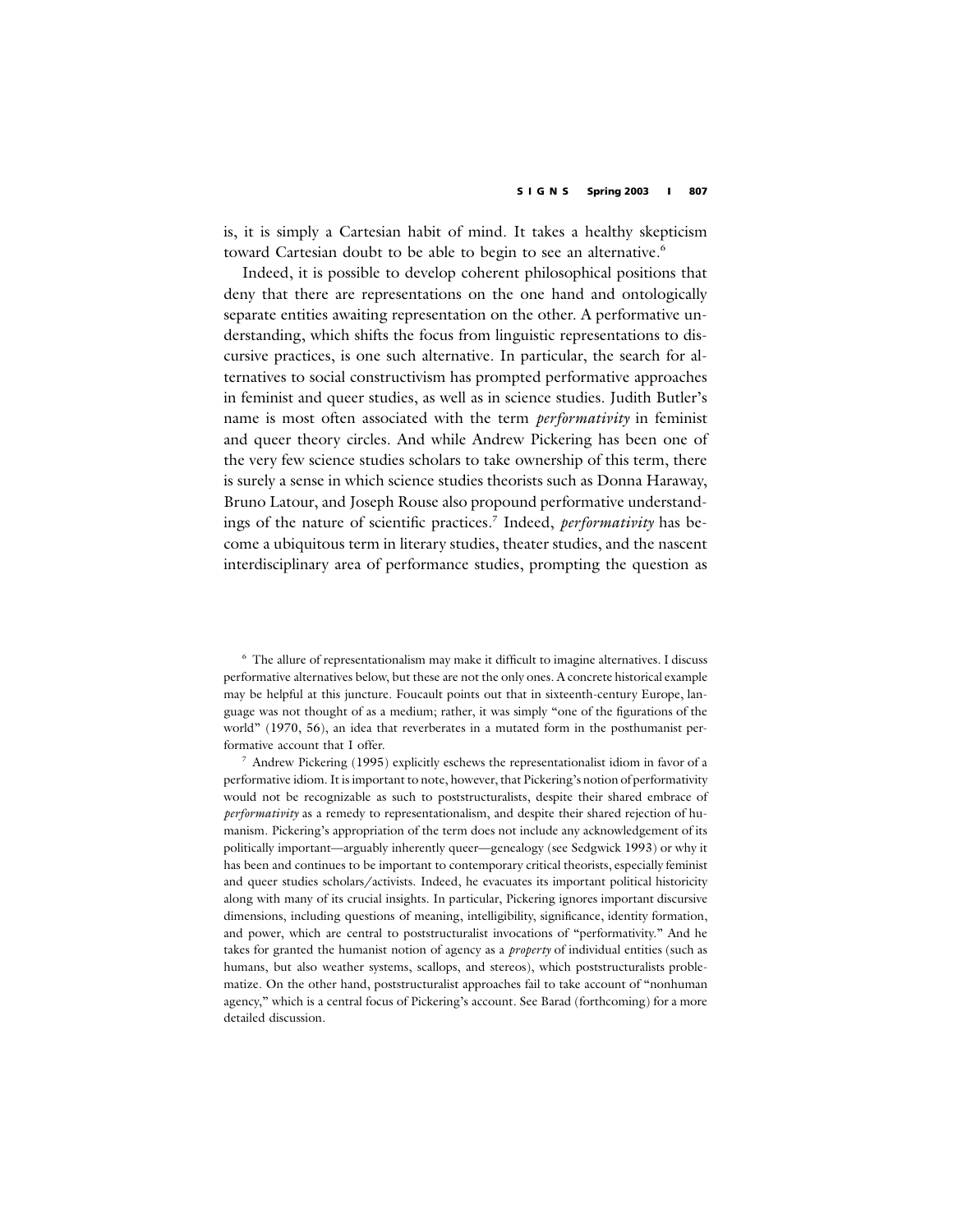#### S I G N S Spring 2003 | 807

is, it is simply a Cartesian habit of mind. It takes a healthy skepticism toward Cartesian doubt to be able to begin to see an alternative.<sup>6</sup>

Indeed, it is possible to develop coherent philosophical positions that deny that there are representations on the one hand and ontologically separate entities awaiting representation on the other. A performative understanding, which shifts the focus from linguistic representations to discursive practices, is one such alternative. In particular, the search for alternatives to social constructivism has prompted performative approaches in feminist and queer studies, as well as in science studies. Judith Butler's name is most often associated with the term *performativity* in feminist and queer theory circles. And while Andrew Pickering has been one of the very few science studies scholars to take ownership of this term, there is surely a sense in which science studies theorists such as Donna Haraway, Bruno Latour, and Joseph Rouse also propound performative understandings of the nature of scientific practices.7 Indeed, *performativity* has become a ubiquitous term in literary studies, theater studies, and the nascent interdisciplinary area of performance studies, prompting the question as

<sup>6</sup> The allure of representationalism may make it difficult to imagine alternatives. I discuss performative alternatives below, but these are not the only ones. A concrete historical example may be helpful at this juncture. Foucault points out that in sixteenth-century Europe, language was not thought of as a medium; rather, it was simply "one of the figurations of the world" (1970, 56), an idea that reverberates in a mutated form in the posthumanist performative account that I offer.

<sup>7</sup> Andrew Pickering (1995) explicitly eschews the representationalist idiom in favor of a performative idiom. It is important to note, however, that Pickering's notion of performativity would not be recognizable as such to poststructuralists, despite their shared embrace of *performativity* as a remedy to representationalism, and despite their shared rejection of humanism. Pickering's appropriation of the term does not include any acknowledgement of its politically important—arguably inherently queer—genealogy (see Sedgwick 1993) or why it has been and continues to be important to contemporary critical theorists, especially feminist and queer studies scholars/activists. Indeed, he evacuates its important political historicity along with many of its crucial insights. In particular, Pickering ignores important discursive dimensions, including questions of meaning, intelligibility, significance, identity formation, and power, which are central to poststructuralist invocations of "performativity." And he takes for granted the humanist notion of agency as a *property* of individual entities (such as humans, but also weather systems, scallops, and stereos), which poststructuralists problematize. On the other hand, poststructuralist approaches fail to take account of "nonhuman agency," which is a central focus of Pickering's account. See Barad (forthcoming) for a more detailed discussion.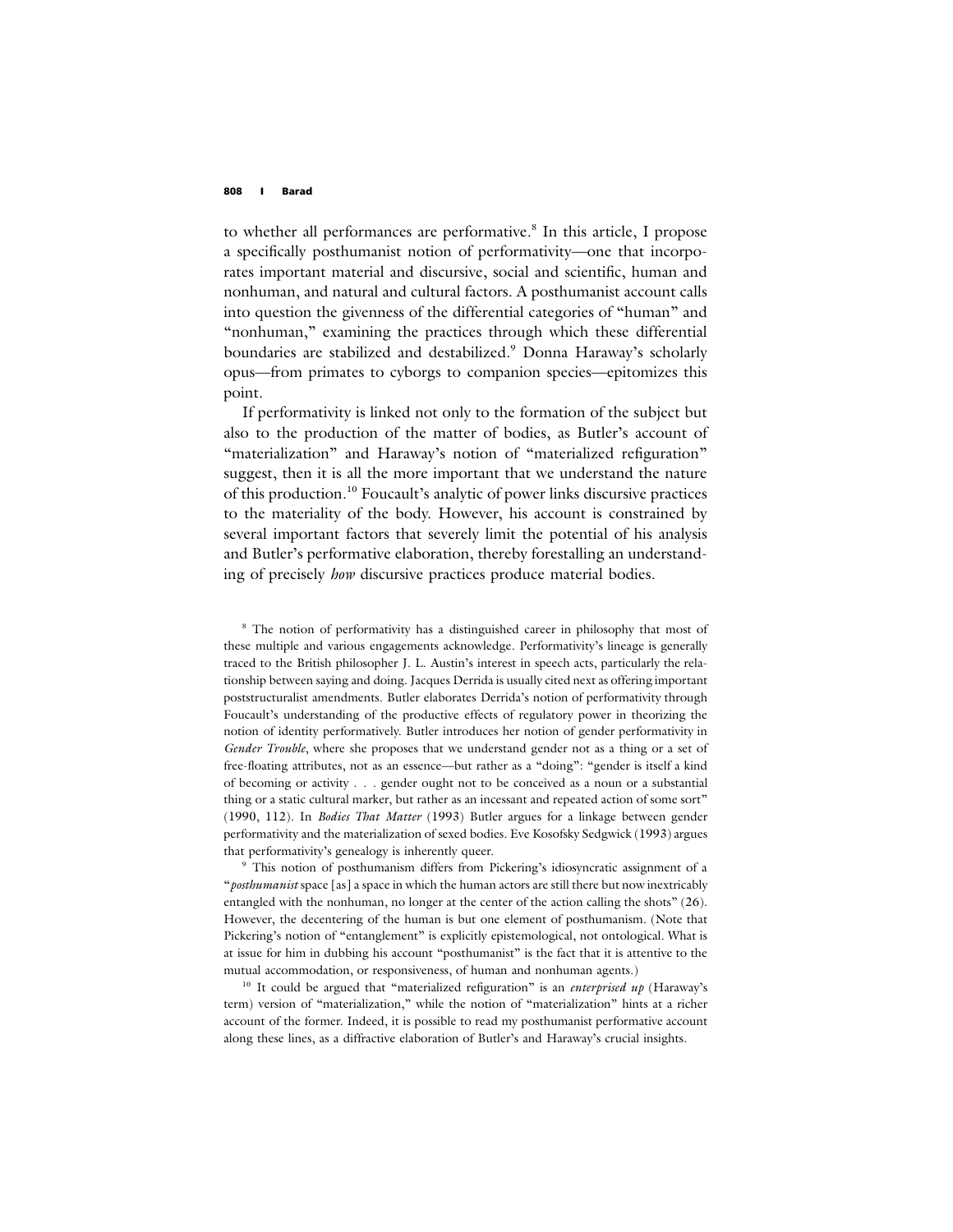to whether all performances are performative.<sup>8</sup> In this article, I propose a specifically posthumanist notion of performativity—one that incorporates important material and discursive, social and scientific, human and nonhuman, and natural and cultural factors. A posthumanist account calls into question the givenness of the differential categories of "human" and "nonhuman," examining the practices through which these differential boundaries are stabilized and destabilized.<sup>9</sup> Donna Haraway's scholarly opus—from primates to cyborgs to companion species—epitomizes this point.

If performativity is linked not only to the formation of the subject but also to the production of the matter of bodies, as Butler's account of "materialization" and Haraway's notion of "materialized refiguration" suggest, then it is all the more important that we understand the nature of this production.10 Foucault's analytic of power links discursive practices to the materiality of the body. However, his account is constrained by several important factors that severely limit the potential of his analysis and Butler's performative elaboration, thereby forestalling an understanding of precisely *how* discursive practices produce material bodies.

<sup>8</sup> The notion of performativity has a distinguished career in philosophy that most of these multiple and various engagements acknowledge. Performativity's lineage is generally traced to the British philosopher J. L. Austin's interest in speech acts, particularly the relationship between saying and doing. Jacques Derrida is usually cited next as offering important poststructuralist amendments. Butler elaborates Derrida's notion of performativity through Foucault's understanding of the productive effects of regulatory power in theorizing the notion of identity performatively. Butler introduces her notion of gender performativity in *Gender Trouble*, where she proposes that we understand gender not as a thing or a set of free-floating attributes, not as an essence—but rather as a "doing": "gender is itself a kind of becoming or activity . . . gender ought not to be conceived as a noun or a substantial thing or a static cultural marker, but rather as an incessant and repeated action of some sort" (1990, 112). In *Bodies That Matter* (1993) Butler argues for a linkage between gender performativity and the materialization of sexed bodies. Eve Kosofsky Sedgwick (1993) argues that performativity's genealogy is inherently queer.

<sup>9</sup> This notion of posthumanism differs from Pickering's idiosyncratic assignment of a "*posthumanist* space [as] a space in which the human actors are still there but now inextricably entangled with the nonhuman, no longer at the center of the action calling the shots" (26). However, the decentering of the human is but one element of posthumanism. (Note that Pickering's notion of "entanglement" is explicitly epistemological, not ontological. What is at issue for him in dubbing his account "posthumanist" is the fact that it is attentive to the mutual accommodation, or responsiveness, of human and nonhuman agents.)

<sup>10</sup> It could be argued that "materialized refiguration" is an *enterprised up* (Haraway's term) version of "materialization," while the notion of "materialization" hints at a richer account of the former. Indeed, it is possible to read my posthumanist performative account along these lines, as a diffractive elaboration of Butler's and Haraway's crucial insights.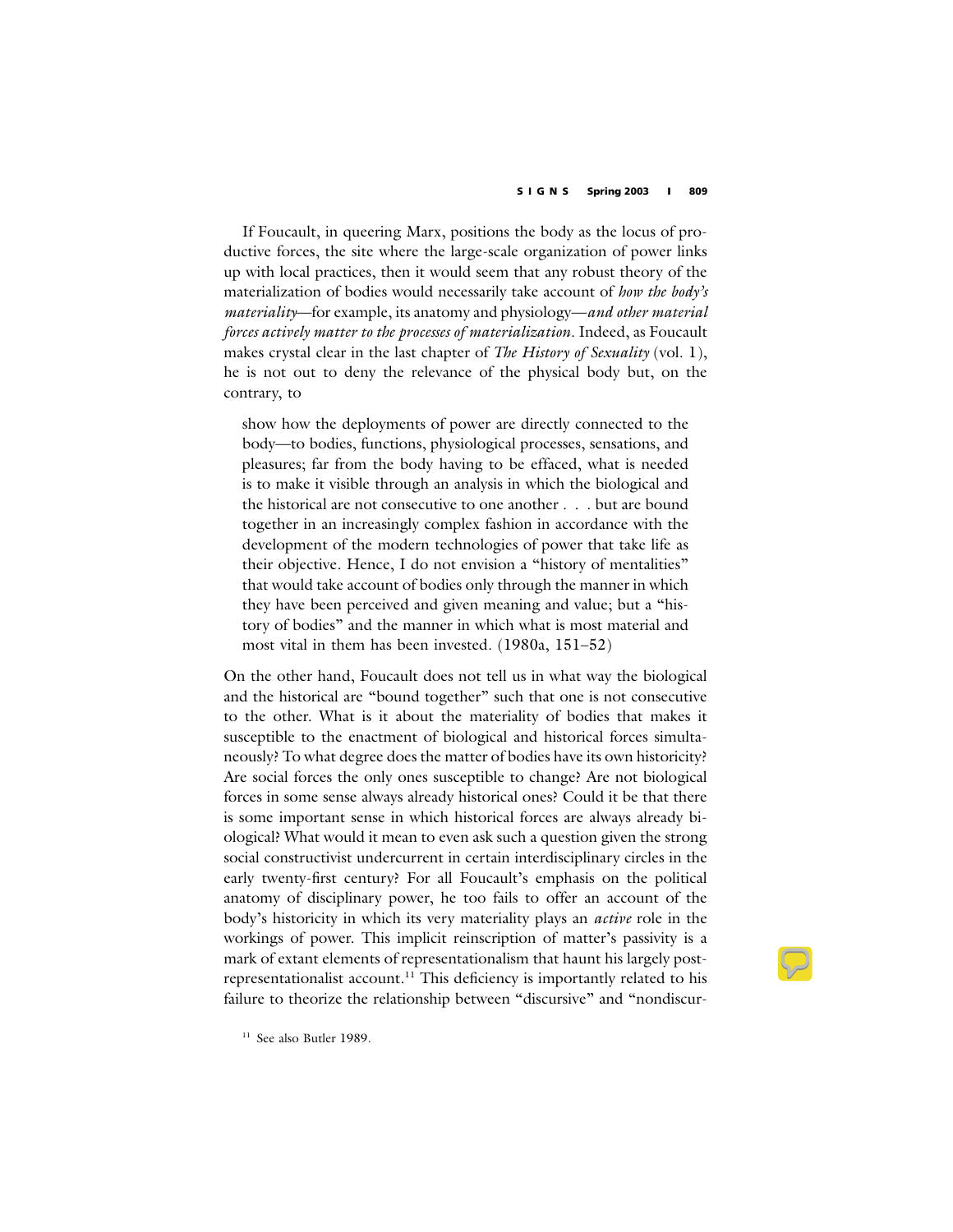If Foucault, in queering Marx, positions the body as the locus of productive forces, the site where the large-scale organization of power links up with local practices, then it would seem that any robust theory of the materialization of bodies would necessarily take account of *how the body's materiality*—for example, its anatomy and physiology—*and other material forces actively matter to the processes of materialization*. Indeed, as Foucault makes crystal clear in the last chapter of *The History of Sexuality* (vol. 1), he is not out to deny the relevance of the physical body but, on the contrary, to

show how the deployments of power are directly connected to the body—to bodies, functions, physiological processes, sensations, and pleasures; far from the body having to be effaced, what is needed is to make it visible through an analysis in which the biological and the historical are not consecutive to one another . . . but are bound together in an increasingly complex fashion in accordance with the development of the modern technologies of power that take life as their objective. Hence, I do not envision a "history of mentalities" that would take account of bodies only through the manner in which they have been perceived and given meaning and value; but a "history of bodies" and the manner in which what is most material and most vital in them has been invested. (1980a, 151–52)

On the other hand, Foucault does not tell us in what way the biological and the historical are "bound together" such that one is not consecutive to the other. What is it about the materiality of bodies that makes it susceptible to the enactment of biological and historical forces simultaneously? To what degree does the matter of bodies have its own historicity? Are social forces the only ones susceptible to change? Are not biological forces in some sense always already historical ones? Could it be that there is some important sense in which historical forces are always already biological? What would it mean to even ask such a question given the strong social constructivist undercurrent in certain interdisciplinary circles in the early twenty-first century? For all Foucault's emphasis on the political anatomy of disciplinary power, he too fails to offer an account of the body's historicity in which its very materiality plays an *active* role in the workings of power. This implicit reinscription of matter's passivity is a mark of extant elements of representationalism that haunt his largely postrepresentationalist account.<sup>11</sup> This deficiency is importantly related to his failure to theorize the relationship between "discursive" and "nondiscur-

<sup>&</sup>lt;sup>11</sup> See also Butler 1989.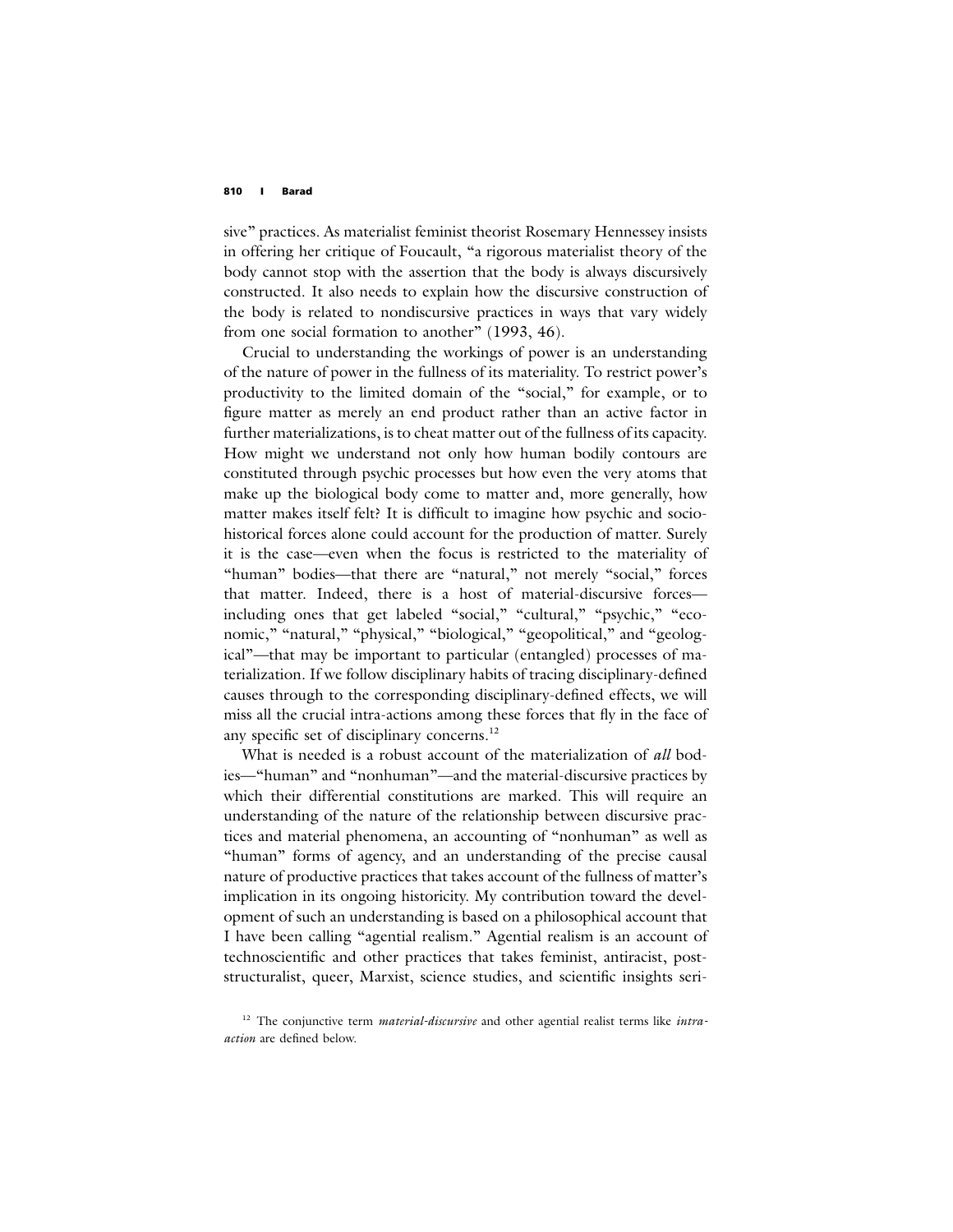### 810 **L** Barad

sive" practices. As materialist feminist theorist Rosemary Hennessey insists in offering her critique of Foucault, "a rigorous materialist theory of the body cannot stop with the assertion that the body is always discursively constructed. It also needs to explain how the discursive construction of the body is related to nondiscursive practices in ways that vary widely from one social formation to another" (1993, 46).

Crucial to understanding the workings of power is an understanding of the nature of power in the fullness of its materiality. To restrict power's productivity to the limited domain of the "social," for example, or to figure matter as merely an end product rather than an active factor in further materializations, is to cheat matter out of the fullness of its capacity. How might we understand not only how human bodily contours are constituted through psychic processes but how even the very atoms that make up the biological body come to matter and, more generally, how matter makes itself felt? It is difficult to imagine how psychic and sociohistorical forces alone could account for the production of matter. Surely it is the case—even when the focus is restricted to the materiality of "human" bodies—that there are "natural," not merely "social," forces that matter. Indeed, there is a host of material-discursive forces including ones that get labeled "social," "cultural," "psychic," "economic," "natural," "physical," "biological," "geopolitical," and "geological"—that may be important to particular (entangled) processes of materialization. If we follow disciplinary habits of tracing disciplinary-defined causes through to the corresponding disciplinary-defined effects, we will miss all the crucial intra-actions among these forces that fly in the face of any specific set of disciplinary concerns.12

What is needed is a robust account of the materialization of *all* bodies—"human" and "nonhuman"—and the material-discursive practices by which their differential constitutions are marked. This will require an understanding of the nature of the relationship between discursive practices and material phenomena, an accounting of "nonhuman" as well as "human" forms of agency, and an understanding of the precise causal nature of productive practices that takes account of the fullness of matter's implication in its ongoing historicity. My contribution toward the development of such an understanding is based on a philosophical account that I have been calling "agential realism." Agential realism is an account of technoscientific and other practices that takes feminist, antiracist, poststructuralist, queer, Marxist, science studies, and scientific insights seri-

<sup>12</sup> The conjunctive term *material-discursive* and other agential realist terms like *intraaction* are defined below.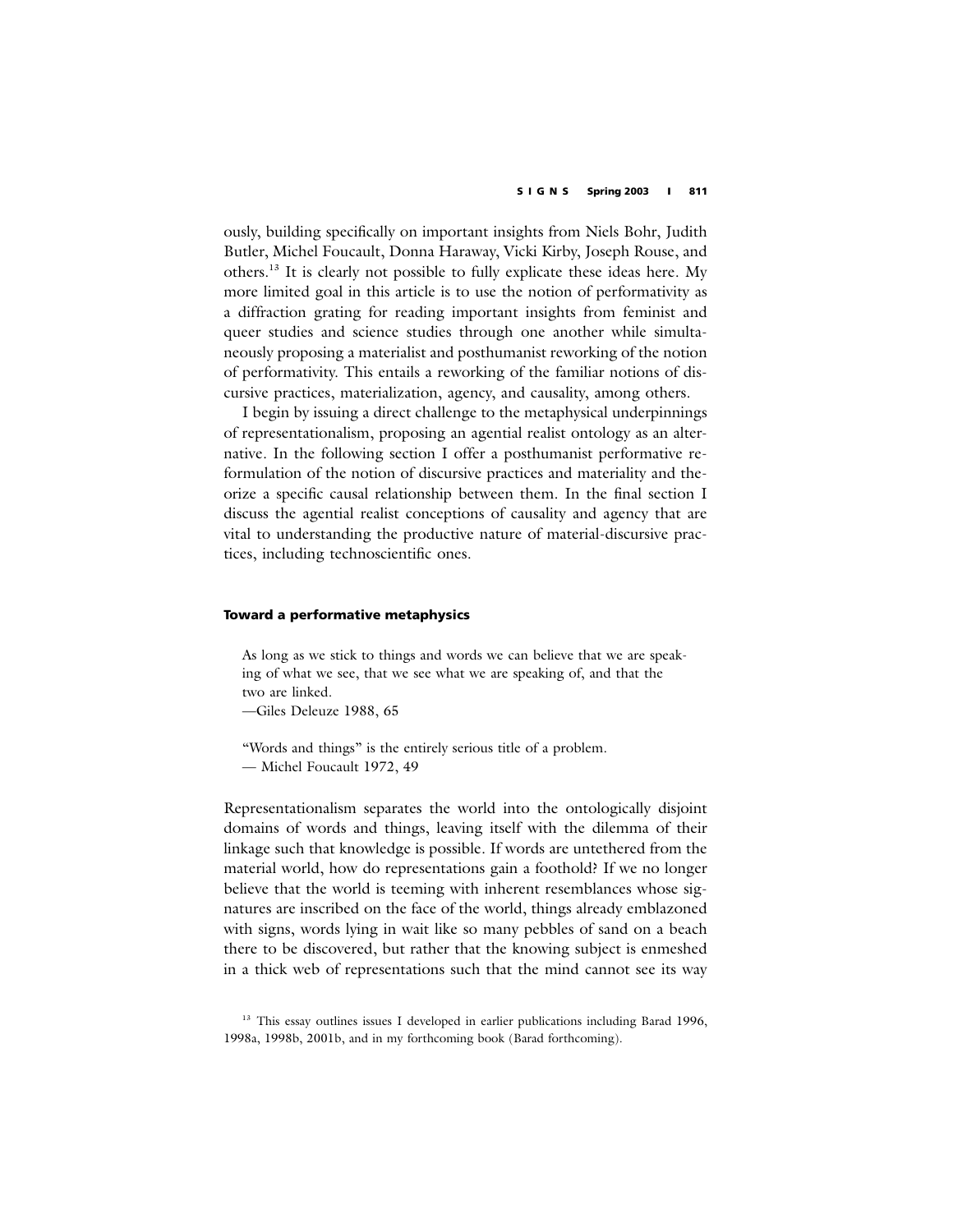ously, building specifically on important insights from Niels Bohr, Judith Butler, Michel Foucault, Donna Haraway, Vicki Kirby, Joseph Rouse, and others.13 It is clearly not possible to fully explicate these ideas here. My more limited goal in this article is to use the notion of performativity as a diffraction grating for reading important insights from feminist and queer studies and science studies through one another while simultaneously proposing a materialist and posthumanist reworking of the notion of performativity. This entails a reworking of the familiar notions of discursive practices, materialization, agency, and causality, among others.

I begin by issuing a direct challenge to the metaphysical underpinnings of representationalism, proposing an agential realist ontology as an alternative. In the following section I offer a posthumanist performative reformulation of the notion of discursive practices and materiality and theorize a specific causal relationship between them. In the final section I discuss the agential realist conceptions of causality and agency that are vital to understanding the productive nature of material-discursive practices, including technoscientific ones.

### Toward a performative metaphysics

As long as we stick to things and words we can believe that we are speaking of what we see, that we see what we are speaking of, and that the two are linked.

—Giles Deleuze 1988, 65

"Words and things" is the entirely serious title of a problem.

Representationalism separates the world into the ontologically disjoint domains of words and things, leaving itself with the dilemma of their linkage such that knowledge is possible. If words are untethered from the material world, how do representations gain a foothold? If we no longer believe that the world is teeming with inherent resemblances whose signatures are inscribed on the face of the world, things already emblazoned with signs, words lying in wait like so many pebbles of sand on a beach there to be discovered, but rather that the knowing subject is enmeshed in a thick web of representations such that the mind cannot see its way

<sup>—</sup> Michel Foucault 1972, 49

<sup>&</sup>lt;sup>13</sup> This essay outlines issues I developed in earlier publications including Barad 1996, 1998a, 1998b, 2001b, and in my forthcoming book (Barad forthcoming).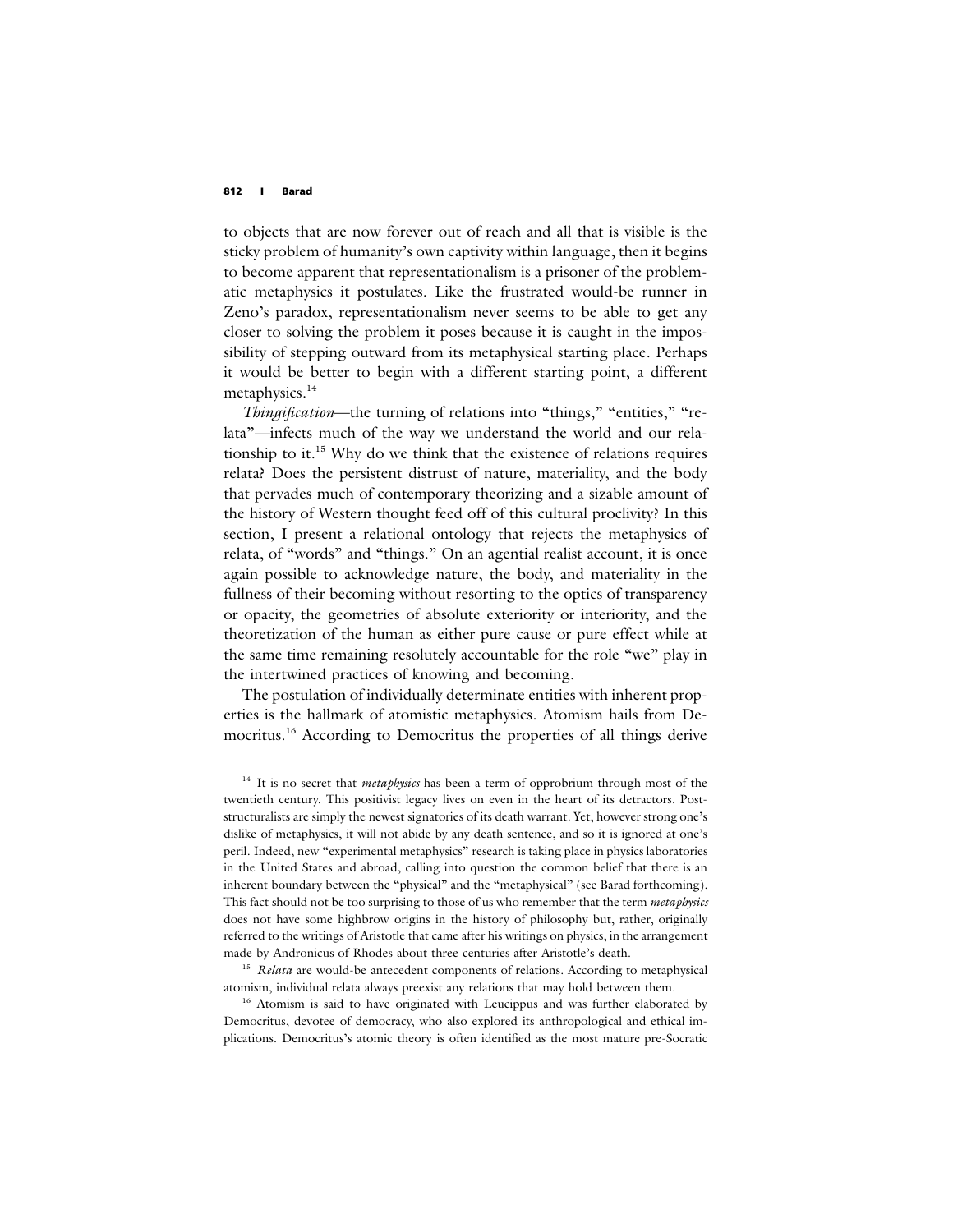to objects that are now forever out of reach and all that is visible is the sticky problem of humanity's own captivity within language, then it begins to become apparent that representationalism is a prisoner of the problematic metaphysics it postulates. Like the frustrated would-be runner in Zeno's paradox, representationalism never seems to be able to get any closer to solving the problem it poses because it is caught in the impossibility of stepping outward from its metaphysical starting place. Perhaps it would be better to begin with a different starting point, a different metaphysics.<sup>14</sup>

*Thingification*—the turning of relations into "things," "entities," "relata"—infects much of the way we understand the world and our relationship to it.15 Why do we think that the existence of relations requires relata? Does the persistent distrust of nature, materiality, and the body that pervades much of contemporary theorizing and a sizable amount of the history of Western thought feed off of this cultural proclivity? In this section, I present a relational ontology that rejects the metaphysics of relata, of "words" and "things." On an agential realist account, it is once again possible to acknowledge nature, the body, and materiality in the fullness of their becoming without resorting to the optics of transparency or opacity, the geometries of absolute exteriority or interiority, and the theoretization of the human as either pure cause or pure effect while at the same time remaining resolutely accountable for the role "we" play in the intertwined practices of knowing and becoming.

The postulation of individually determinate entities with inherent properties is the hallmark of atomistic metaphysics. Atomism hails from Democritus.16 According to Democritus the properties of all things derive

<sup>16</sup> Atomism is said to have originated with Leucippus and was further elaborated by Democritus, devotee of democracy, who also explored its anthropological and ethical implications. Democritus's atomic theory is often identified as the most mature pre-Socratic

<sup>14</sup> It is no secret that *metaphysics* has been a term of opprobrium through most of the twentieth century. This positivist legacy lives on even in the heart of its detractors. Poststructuralists are simply the newest signatories of its death warrant. Yet, however strong one's dislike of metaphysics, it will not abide by any death sentence, and so it is ignored at one's peril. Indeed, new "experimental metaphysics" research is taking place in physics laboratories in the United States and abroad, calling into question the common belief that there is an inherent boundary between the "physical" and the "metaphysical" (see Barad forthcoming). This fact should not be too surprising to those of us who remember that the term *metaphysics* does not have some highbrow origins in the history of philosophy but, rather, originally referred to the writings of Aristotle that came after his writings on physics, in the arrangement made by Andronicus of Rhodes about three centuries after Aristotle's death.

<sup>&</sup>lt;sup>15</sup> *Relata* are would-be antecedent components of relations. According to metaphysical atomism, individual relata always preexist any relations that may hold between them.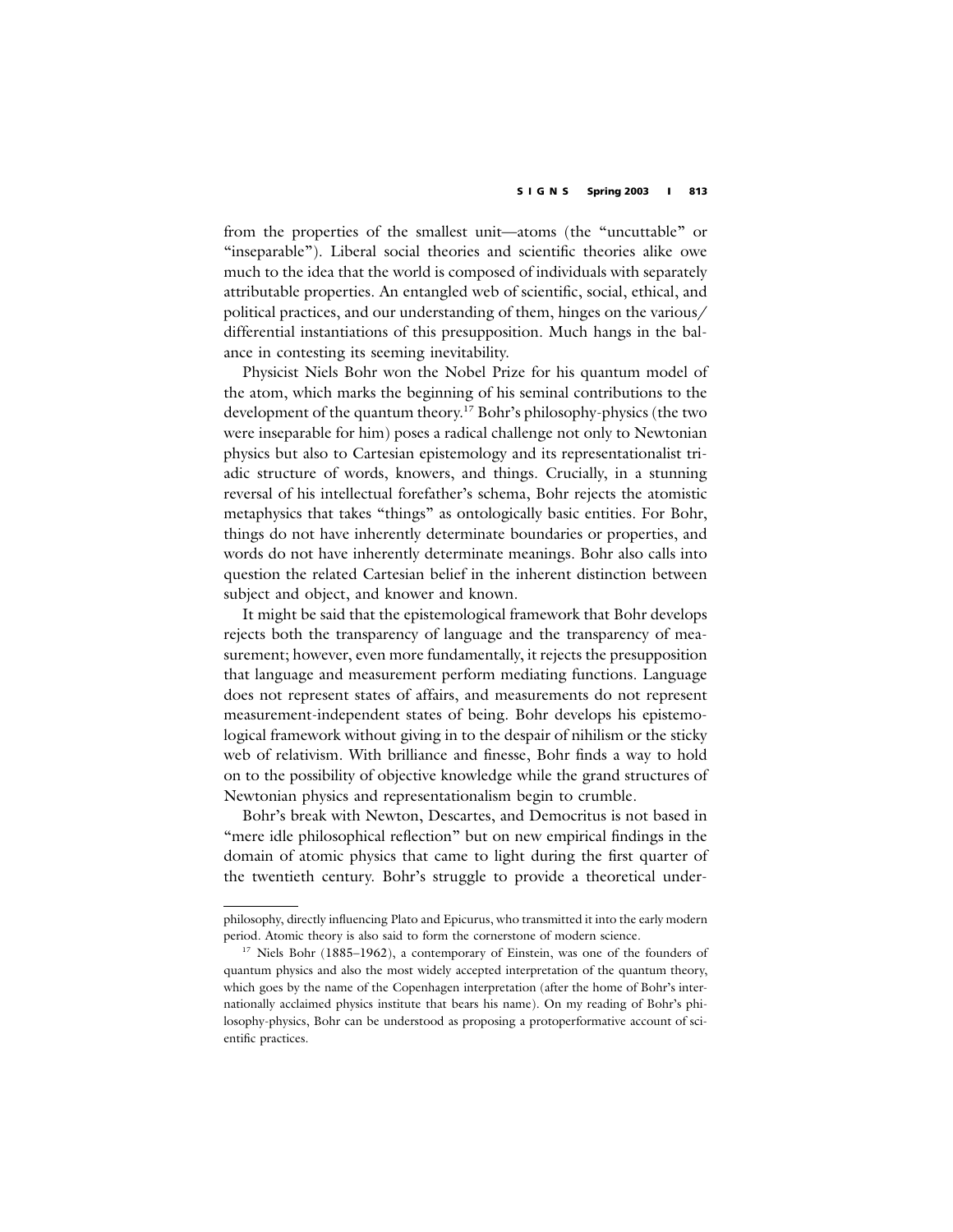from the properties of the smallest unit—atoms (the "uncuttable" or "inseparable"). Liberal social theories and scientific theories alike owe much to the idea that the world is composed of individuals with separately attributable properties. An entangled web of scientific, social, ethical, and political practices, and our understanding of them, hinges on the various/ differential instantiations of this presupposition. Much hangs in the balance in contesting its seeming inevitability.

Physicist Niels Bohr won the Nobel Prize for his quantum model of the atom, which marks the beginning of his seminal contributions to the development of the quantum theory.17 Bohr's philosophy-physics (the two were inseparable for him) poses a radical challenge not only to Newtonian physics but also to Cartesian epistemology and its representationalist triadic structure of words, knowers, and things. Crucially, in a stunning reversal of his intellectual forefather's schema, Bohr rejects the atomistic metaphysics that takes "things" as ontologically basic entities. For Bohr, things do not have inherently determinate boundaries or properties, and words do not have inherently determinate meanings. Bohr also calls into question the related Cartesian belief in the inherent distinction between subject and object, and knower and known.

It might be said that the epistemological framework that Bohr develops rejects both the transparency of language and the transparency of measurement; however, even more fundamentally, it rejects the presupposition that language and measurement perform mediating functions. Language does not represent states of affairs, and measurements do not represent measurement-independent states of being. Bohr develops his epistemological framework without giving in to the despair of nihilism or the sticky web of relativism. With brilliance and finesse, Bohr finds a way to hold on to the possibility of objective knowledge while the grand structures of Newtonian physics and representationalism begin to crumble.

Bohr's break with Newton, Descartes, and Democritus is not based in "mere idle philosophical reflection" but on new empirical findings in the domain of atomic physics that came to light during the first quarter of the twentieth century. Bohr's struggle to provide a theoretical under-

philosophy, directly influencing Plato and Epicurus, who transmitted it into the early modern period. Atomic theory is also said to form the cornerstone of modern science.

<sup>&</sup>lt;sup>17</sup> Niels Bohr (1885–1962), a contemporary of Einstein, was one of the founders of quantum physics and also the most widely accepted interpretation of the quantum theory, which goes by the name of the Copenhagen interpretation (after the home of Bohr's internationally acclaimed physics institute that bears his name). On my reading of Bohr's philosophy-physics, Bohr can be understood as proposing a protoperformative account of scientific practices.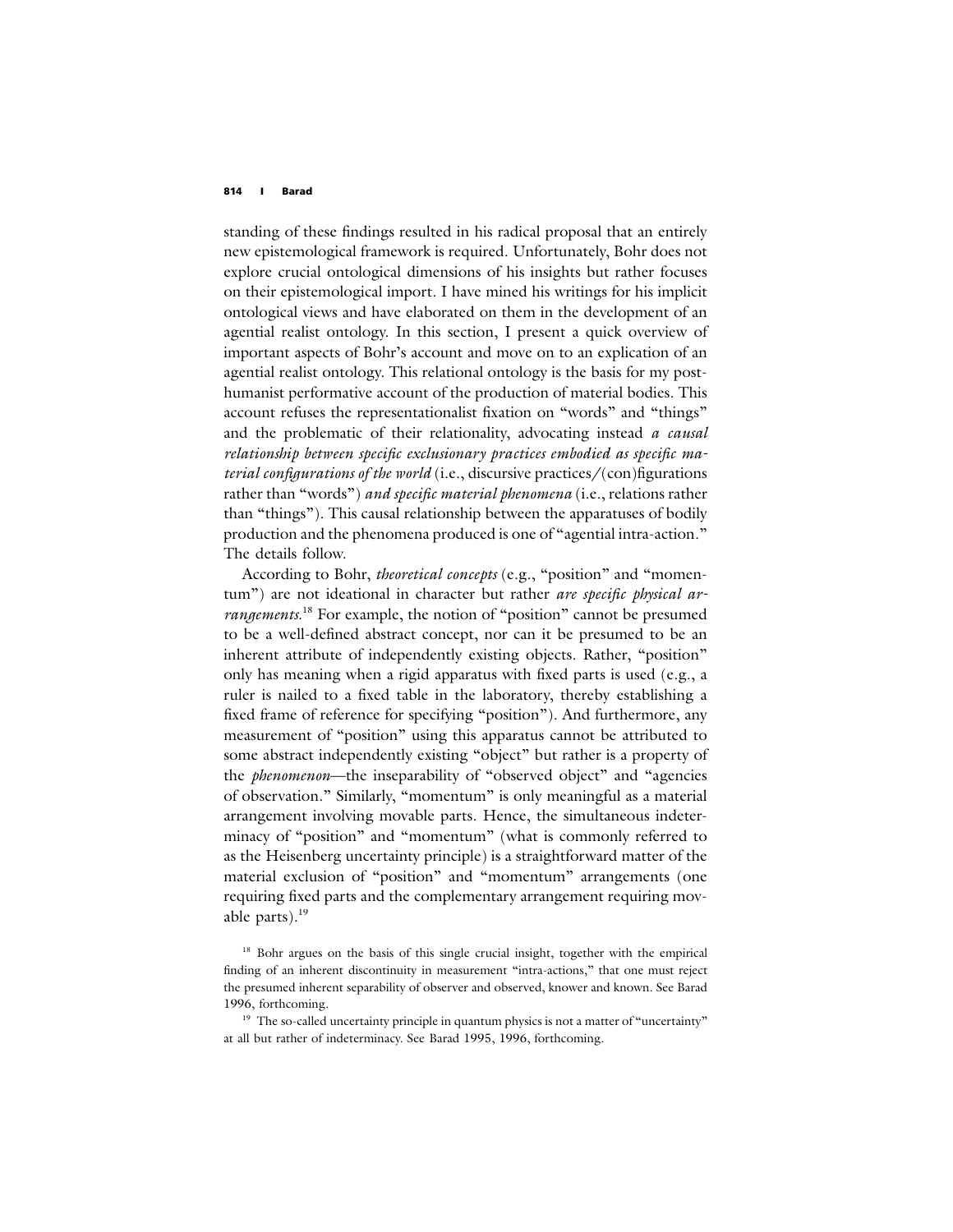standing of these findings resulted in his radical proposal that an entirely new epistemological framework is required. Unfortunately, Bohr does not explore crucial ontological dimensions of his insights but rather focuses on their epistemological import. I have mined his writings for his implicit ontological views and have elaborated on them in the development of an agential realist ontology. In this section, I present a quick overview of important aspects of Bohr's account and move on to an explication of an agential realist ontology. This relational ontology is the basis for my posthumanist performative account of the production of material bodies. This account refuses the representationalist fixation on "words" and "things" and the problematic of their relationality, advocating instead *a causal relationship between specific exclusionary practices embodied as specific material configurations of the world* (i.e., discursive practices/(con)figurations rather than "words") *and specific material phenomena* (i.e., relations rather than "things"). This causal relationship between the apparatuses of bodily production and the phenomena produced is one of "agential intra-action." The details follow.

According to Bohr, *theoretical concepts* (e.g., "position" and "momentum") are not ideational in character but rather *are specific physical arrangements*. <sup>18</sup> For example, the notion of "position" cannot be presumed to be a well-defined abstract concept, nor can it be presumed to be an inherent attribute of independently existing objects. Rather, "position" only has meaning when a rigid apparatus with fixed parts is used (e.g., a ruler is nailed to a fixed table in the laboratory, thereby establishing a fixed frame of reference for specifying "position"). And furthermore, any measurement of "position" using this apparatus cannot be attributed to some abstract independently existing "object" but rather is a property of the *phenomenon*—the inseparability of "observed object" and "agencies of observation." Similarly, "momentum" is only meaningful as a material arrangement involving movable parts. Hence, the simultaneous indeterminacy of "position" and "momentum" (what is commonly referred to as the Heisenberg uncertainty principle) is a straightforward matter of the material exclusion of "position" and "momentum" arrangements (one requiring fixed parts and the complementary arrangement requiring movable parts).19

<sup>&</sup>lt;sup>18</sup> Bohr argues on the basis of this single crucial insight, together with the empirical finding of an inherent discontinuity in measurement "intra-actions," that one must reject the presumed inherent separability of observer and observed, knower and known. See Barad 1996, forthcoming.

<sup>&</sup>lt;sup>19</sup> The so-called uncertainty principle in quantum physics is not a matter of "uncertainty" at all but rather of indeterminacy. See Barad 1995, 1996, forthcoming.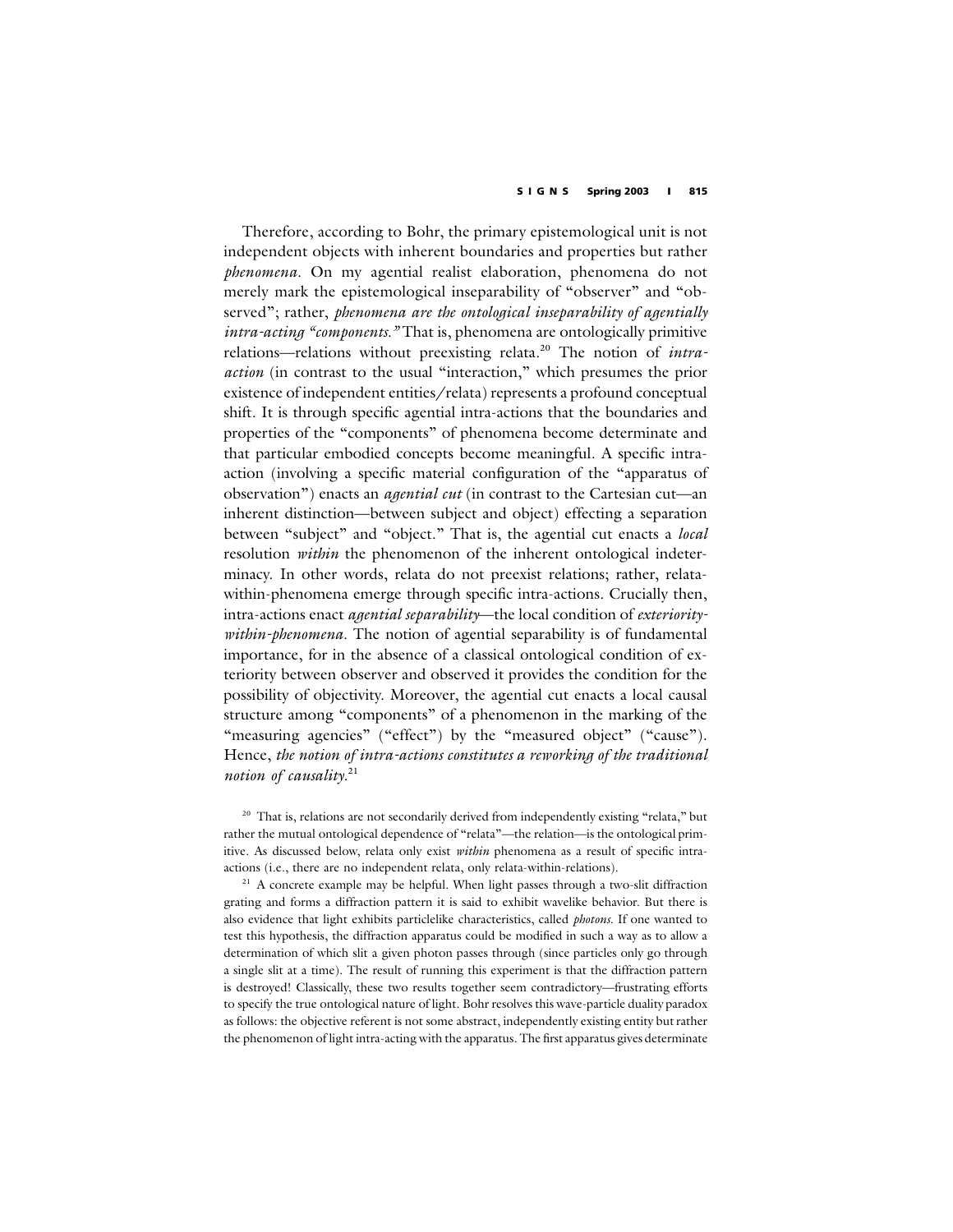### S I G N S Spring 2003 | 815

Therefore, according to Bohr, the primary epistemological unit is not independent objects with inherent boundaries and properties but rather *phenomena*. On my agential realist elaboration, phenomena do not merely mark the epistemological inseparability of "observer" and "observed"; rather, *phenomena are the ontological inseparability of agentially intra-acting "components."* That is, phenomena are ontologically primitive relations—relations without preexisting relata.20 The notion of *intraaction* (in contrast to the usual "interaction," which presumes the prior existence of independent entities/relata) represents a profound conceptual shift. It is through specific agential intra-actions that the boundaries and properties of the "components" of phenomena become determinate and that particular embodied concepts become meaningful. A specific intraaction (involving a specific material configuration of the "apparatus of observation") enacts an *agential cut* (in contrast to the Cartesian cut—an inherent distinction—between subject and object) effecting a separation between "subject" and "object." That is, the agential cut enacts a *local* resolution *within* the phenomenon of the inherent ontological indeterminacy. In other words, relata do not preexist relations; rather, relatawithin-phenomena emerge through specific intra-actions. Crucially then, intra-actions enact *agential separability*—the local condition of *exterioritywithin-phenomena*. The notion of agential separability is of fundamental importance, for in the absence of a classical ontological condition of exteriority between observer and observed it provides the condition for the possibility of objectivity. Moreover, the agential cut enacts a local causal structure among "components" of a phenomenon in the marking of the "measuring agencies" ("effect") by the "measured object" ("cause"). Hence, *the notion of intra-actions constitutes a reworking of the traditional notion of causality*. 21

<sup>&</sup>lt;sup>20</sup> That is, relations are not secondarily derived from independently existing "relata," but rather the mutual ontological dependence of "relata"—the relation—is the ontological primitive. As discussed below, relata only exist *within* phenomena as a result of specific intraactions (i.e., there are no independent relata, only relata-within-relations).

<sup>&</sup>lt;sup>21</sup> A concrete example may be helpful. When light passes through a two-slit diffraction grating and forms a diffraction pattern it is said to exhibit wavelike behavior. But there is also evidence that light exhibits particlelike characteristics, called *photons*. If one wanted to test this hypothesis, the diffraction apparatus could be modified in such a way as to allow a determination of which slit a given photon passes through (since particles only go through a single slit at a time). The result of running this experiment is that the diffraction pattern is destroyed! Classically, these two results together seem contradictory—frustrating efforts to specify the true ontological nature of light. Bohr resolves this wave-particle duality paradox as follows: the objective referent is not some abstract, independently existing entity but rather the phenomenon of light intra-acting with the apparatus. The first apparatus gives determinate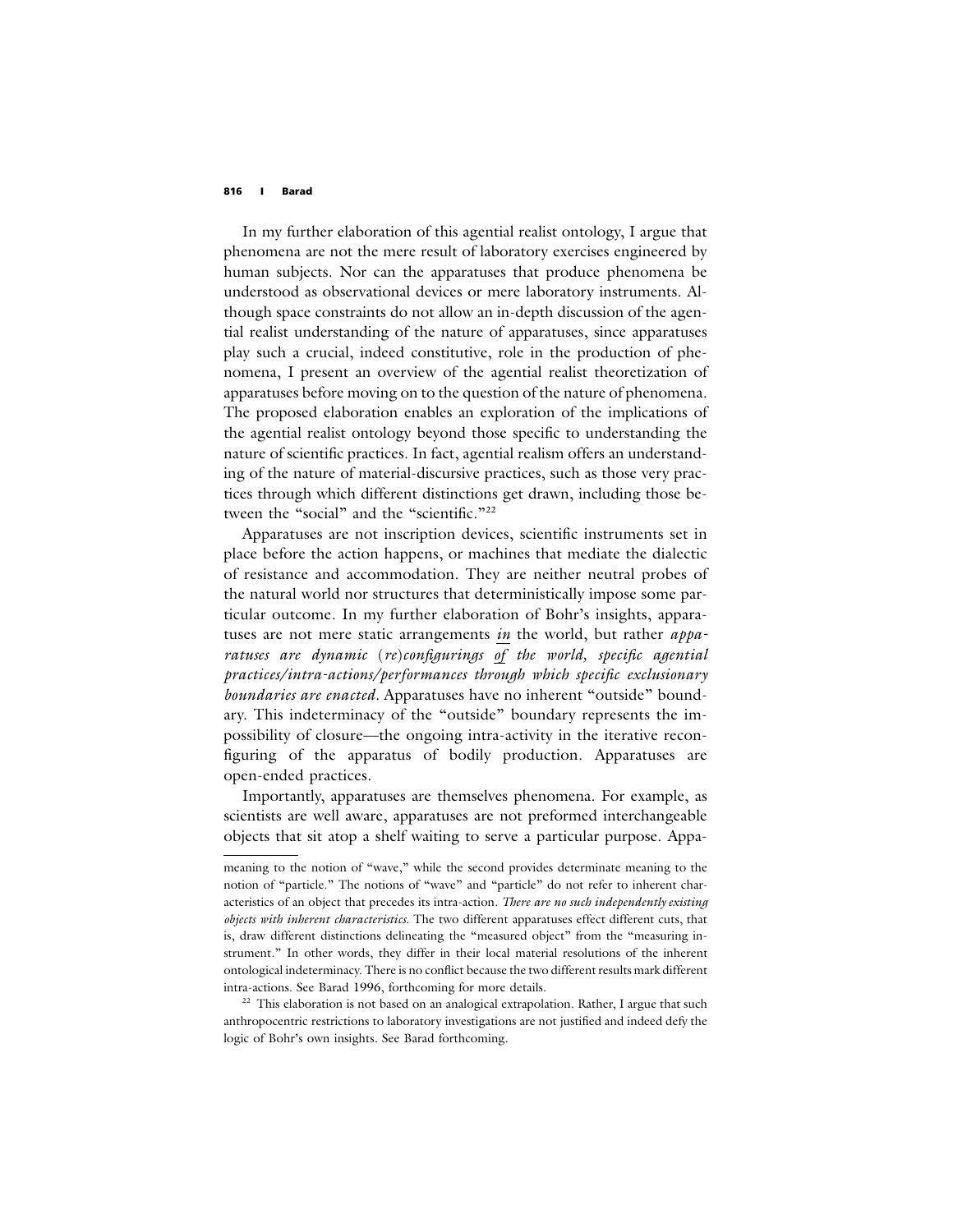In my further elaboration of this agential realist ontology, I argue that phenomena are not the mere result of laboratory exercises engineered by human subjects. Nor can the apparatuses that produce phenomena be understood as observational devices or mere laboratory instruments. Although space constraints do not allow an in-depth discussion of the agential realist understanding of the nature of apparatuses, since apparatuses play such a crucial, indeed constitutive, role in the production of phenomena, I present an overview of the agential realist theoretization of apparatuses before moving on to the question of the nature of phenomena. The proposed elaboration enables an exploration of the implications of the agential realist ontology beyond those specific to understanding the nature of scientific practices. In fact, agential realism offers an understanding of the nature of material-discursive practices, such as those very practices through which different distinctions get drawn, including those between the "social" and the "scientific."<sup>22</sup>

Apparatuses are not inscription devices, scientific instruments set in place before the action happens, or machines that mediate the dialectic of resistance and accommodation. They are neither neutral probes of the natural world nor structures that deterministically impose some particular outcome. In my further elaboration of Bohr's insights, apparatuses are not mere static arrangements *in* the world, but rather *apparatuses are dynamic* (*re*)*configurings of the world, specific agential practices/intra-actions/performances through which specific exclusionary boundaries are enacted.* Apparatuses have no inherent "outside" boundary. This indeterminacy of the "outside" boundary represents the impossibility of closure—the ongoing intra-activity in the iterative reconfiguring of the apparatus of bodily production. Apparatuses are open-ended practices.

Importantly, apparatuses are themselves phenomena. For example, as scientists are well aware, apparatuses are not preformed interchangeable objects that sit atop a shelf waiting to serve a particular purpose. Appa-

meaning to the notion of "wave," while the second provides determinate meaning to the notion of "particle." The notions of "wave" and "particle" do not refer to inherent characteristics of an object that precedes its intra-action. *There are no such independently existing objects with inherent characteristics*. The two different apparatuses effect different cuts, that is, draw different distinctions delineating the "measured object" from the "measuring instrument." In other words, they differ in their local material resolutions of the inherent ontological indeterminacy. There is no conflict because the two different results mark different intra-actions. See Barad 1996, forthcoming for more details.

 $2<sup>22</sup>$  This elaboration is not based on an analogical extrapolation. Rather, I argue that such anthropocentric restrictions to laboratory investigations are not justified and indeed defy the logic of Bohr's own insights. See Barad forthcoming.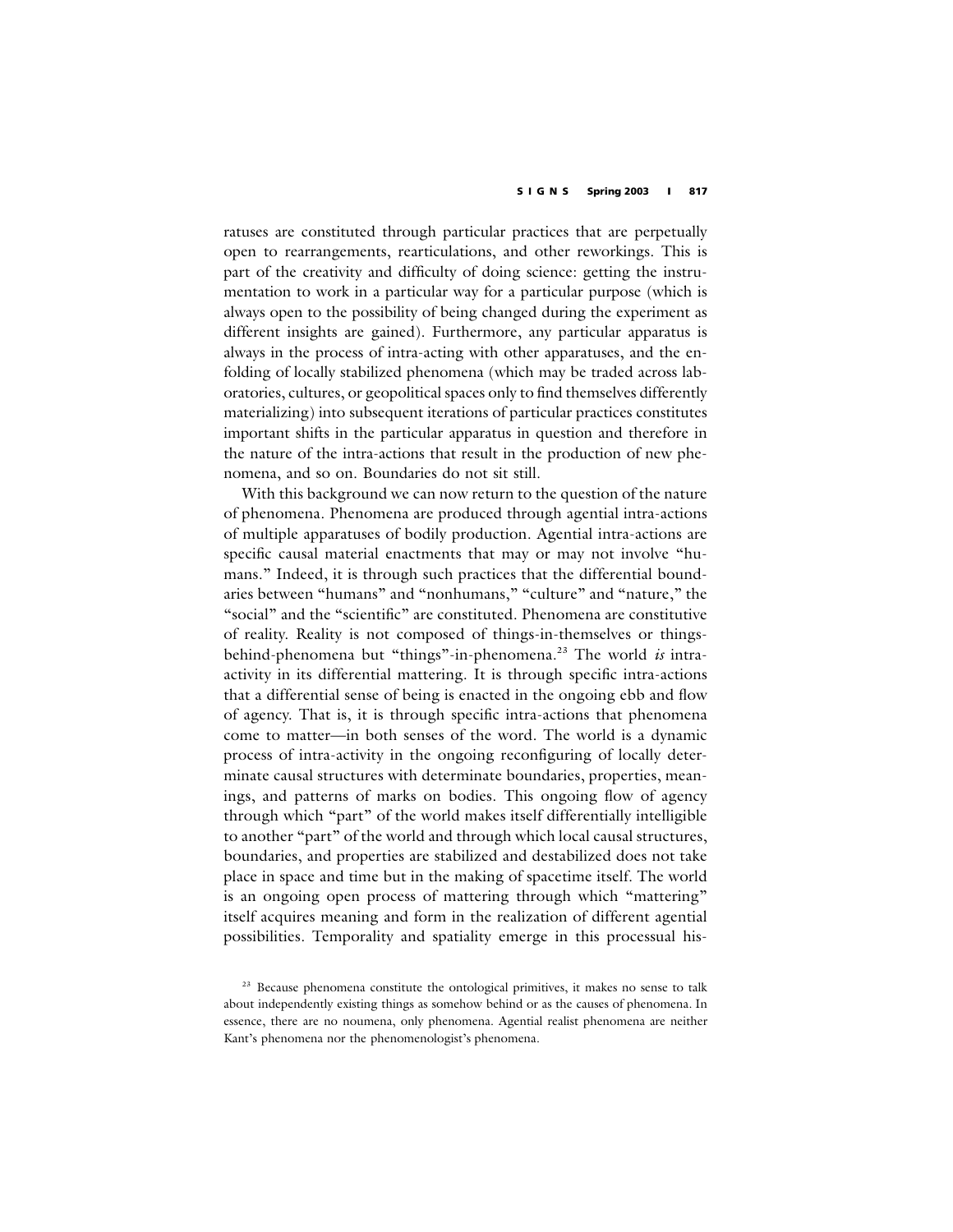ratuses are constituted through particular practices that are perpetually open to rearrangements, rearticulations, and other reworkings. This is part of the creativity and difficulty of doing science: getting the instrumentation to work in a particular way for a particular purpose (which is always open to the possibility of being changed during the experiment as different insights are gained). Furthermore, any particular apparatus is always in the process of intra-acting with other apparatuses, and the enfolding of locally stabilized phenomena (which may be traded across laboratories, cultures, or geopolitical spaces only to find themselves differently materializing) into subsequent iterations of particular practices constitutes important shifts in the particular apparatus in question and therefore in the nature of the intra-actions that result in the production of new phenomena, and so on. Boundaries do not sit still.

With this background we can now return to the question of the nature of phenomena. Phenomena are produced through agential intra-actions of multiple apparatuses of bodily production. Agential intra-actions are specific causal material enactments that may or may not involve "humans." Indeed, it is through such practices that the differential boundaries between "humans" and "nonhumans," "culture" and "nature," the "social" and the "scientific" are constituted. Phenomena are constitutive of reality. Reality is not composed of things-in-themselves or thingsbehind-phenomena but "things"-in-phenomena.23 The world *is* intraactivity in its differential mattering. It is through specific intra-actions that a differential sense of being is enacted in the ongoing ebb and flow of agency. That is, it is through specific intra-actions that phenomena come to matter—in both senses of the word. The world is a dynamic process of intra-activity in the ongoing reconfiguring of locally determinate causal structures with determinate boundaries, properties, meanings, and patterns of marks on bodies. This ongoing flow of agency through which "part" of the world makes itself differentially intelligible to another "part" of the world and through which local causal structures, boundaries, and properties are stabilized and destabilized does not take place in space and time but in the making of spacetime itself. The world is an ongoing open process of mattering through which "mattering" itself acquires meaning and form in the realization of different agential possibilities. Temporality and spatiality emerge in this processual his-

<sup>&</sup>lt;sup>23</sup> Because phenomena constitute the ontological primitives, it makes no sense to talk about independently existing things as somehow behind or as the causes of phenomena. In essence, there are no noumena, only phenomena. Agential realist phenomena are neither Kant's phenomena nor the phenomenologist's phenomena.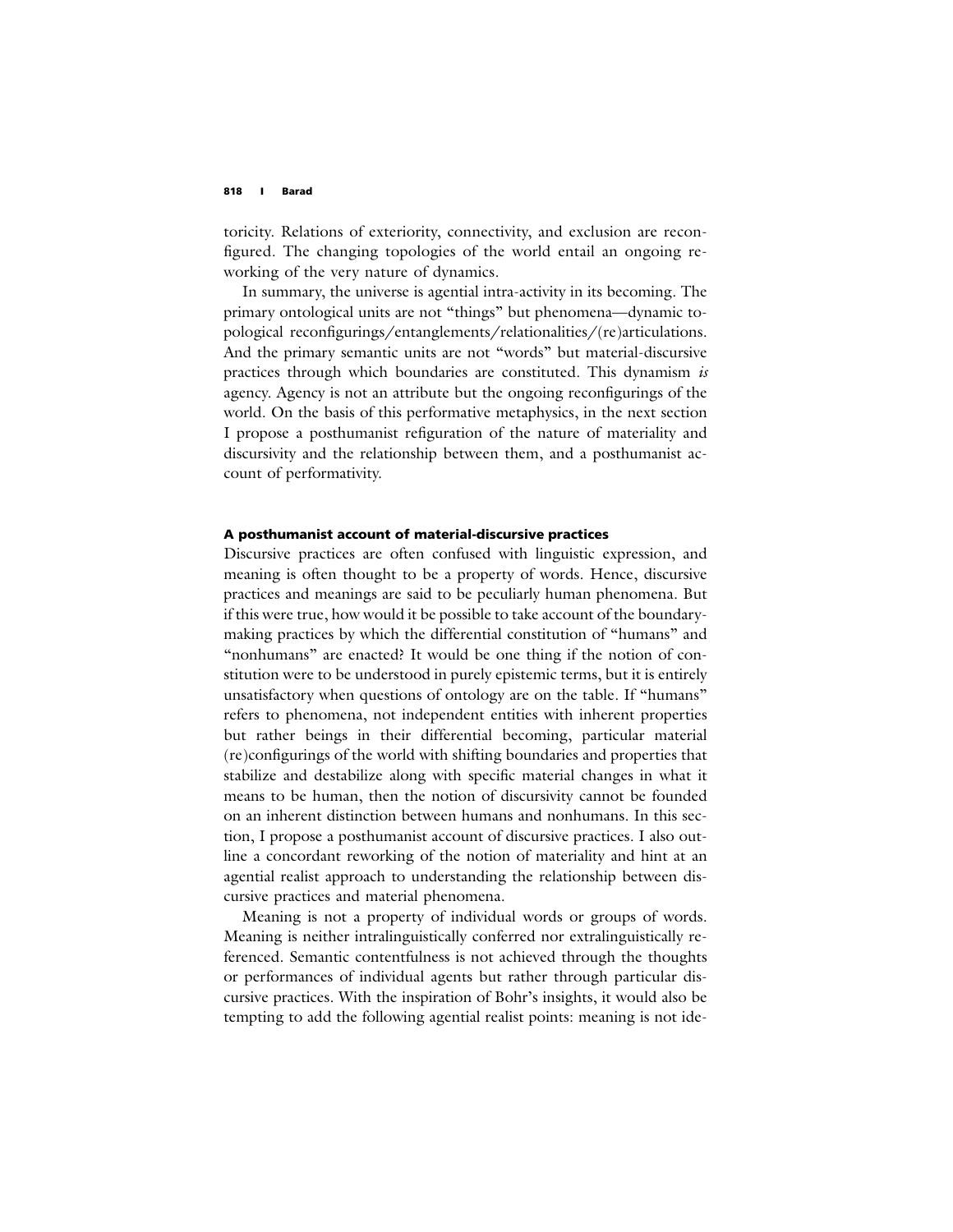toricity. Relations of exteriority, connectivity, and exclusion are reconfigured. The changing topologies of the world entail an ongoing reworking of the very nature of dynamics.

In summary, the universe is agential intra-activity in its becoming. The primary ontological units are not "things" but phenomena—dynamic topological reconfigurings/entanglements/relationalities/(re)articulations. And the primary semantic units are not "words" but material-discursive practices through which boundaries are constituted. This dynamism *is* agency. Agency is not an attribute but the ongoing reconfigurings of the world. On the basis of this performative metaphysics, in the next section I propose a posthumanist refiguration of the nature of materiality and discursivity and the relationship between them, and a posthumanist account of performativity.

### A posthumanist account of material-discursive practices

Discursive practices are often confused with linguistic expression, and meaning is often thought to be a property of words. Hence, discursive practices and meanings are said to be peculiarly human phenomena. But if this were true, how would it be possible to take account of the boundarymaking practices by which the differential constitution of "humans" and "nonhumans" are enacted? It would be one thing if the notion of constitution were to be understood in purely epistemic terms, but it is entirely unsatisfactory when questions of ontology are on the table. If "humans" refers to phenomena, not independent entities with inherent properties but rather beings in their differential becoming, particular material (re)configurings of the world with shifting boundaries and properties that stabilize and destabilize along with specific material changes in what it means to be human, then the notion of discursivity cannot be founded on an inherent distinction between humans and nonhumans. In this section, I propose a posthumanist account of discursive practices. I also outline a concordant reworking of the notion of materiality and hint at an agential realist approach to understanding the relationship between discursive practices and material phenomena.

Meaning is not a property of individual words or groups of words. Meaning is neither intralinguistically conferred nor extralinguistically referenced. Semantic contentfulness is not achieved through the thoughts or performances of individual agents but rather through particular discursive practices. With the inspiration of Bohr's insights, it would also be tempting to add the following agential realist points: meaning is not ide-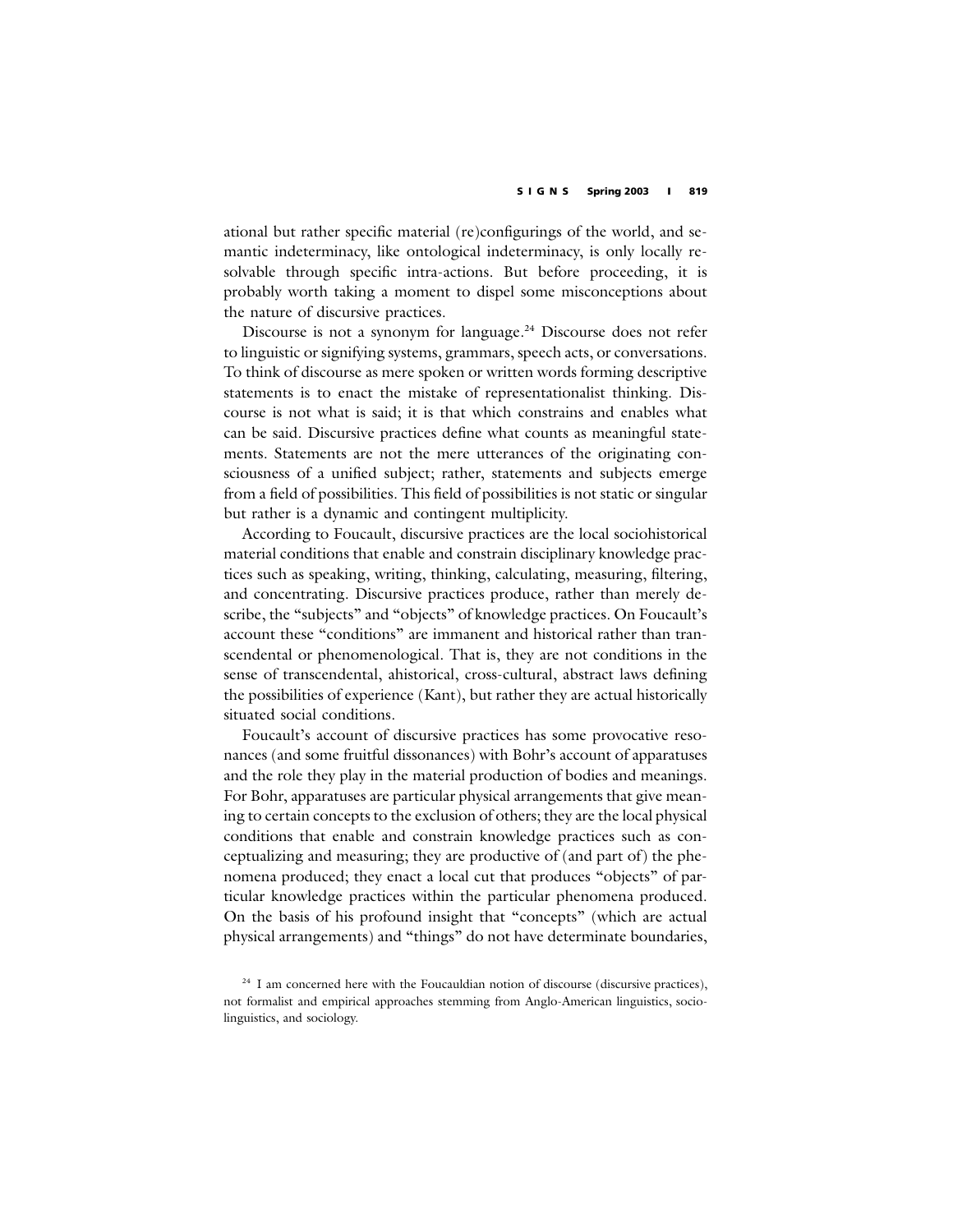ational but rather specific material (re)configurings of the world, and semantic indeterminacy, like ontological indeterminacy, is only locally resolvable through specific intra-actions. But before proceeding, it is probably worth taking a moment to dispel some misconceptions about the nature of discursive practices.

Discourse is not a synonym for language.24 Discourse does not refer to linguistic or signifying systems, grammars, speech acts, or conversations. To think of discourse as mere spoken or written words forming descriptive statements is to enact the mistake of representationalist thinking. Discourse is not what is said; it is that which constrains and enables what can be said. Discursive practices define what counts as meaningful statements. Statements are not the mere utterances of the originating consciousness of a unified subject; rather, statements and subjects emerge from a field of possibilities. This field of possibilities is not static or singular but rather is a dynamic and contingent multiplicity.

According to Foucault, discursive practices are the local sociohistorical material conditions that enable and constrain disciplinary knowledge practices such as speaking, writing, thinking, calculating, measuring, filtering, and concentrating. Discursive practices produce, rather than merely describe, the "subjects" and "objects" of knowledge practices. On Foucault's account these "conditions" are immanent and historical rather than transcendental or phenomenological. That is, they are not conditions in the sense of transcendental, ahistorical, cross-cultural, abstract laws defining the possibilities of experience (Kant), but rather they are actual historically situated social conditions.

Foucault's account of discursive practices has some provocative resonances (and some fruitful dissonances) with Bohr's account of apparatuses and the role they play in the material production of bodies and meanings. For Bohr, apparatuses are particular physical arrangements that give meaning to certain concepts to the exclusion of others; they are the local physical conditions that enable and constrain knowledge practices such as conceptualizing and measuring; they are productive of (and part of) the phenomena produced; they enact a local cut that produces "objects" of particular knowledge practices within the particular phenomena produced. On the basis of his profound insight that "concepts" (which are actual physical arrangements) and "things" do not have determinate boundaries,

<sup>&</sup>lt;sup>24</sup> I am concerned here with the Foucauldian notion of discourse (discursive practices), not formalist and empirical approaches stemming from Anglo-American linguistics, sociolinguistics, and sociology.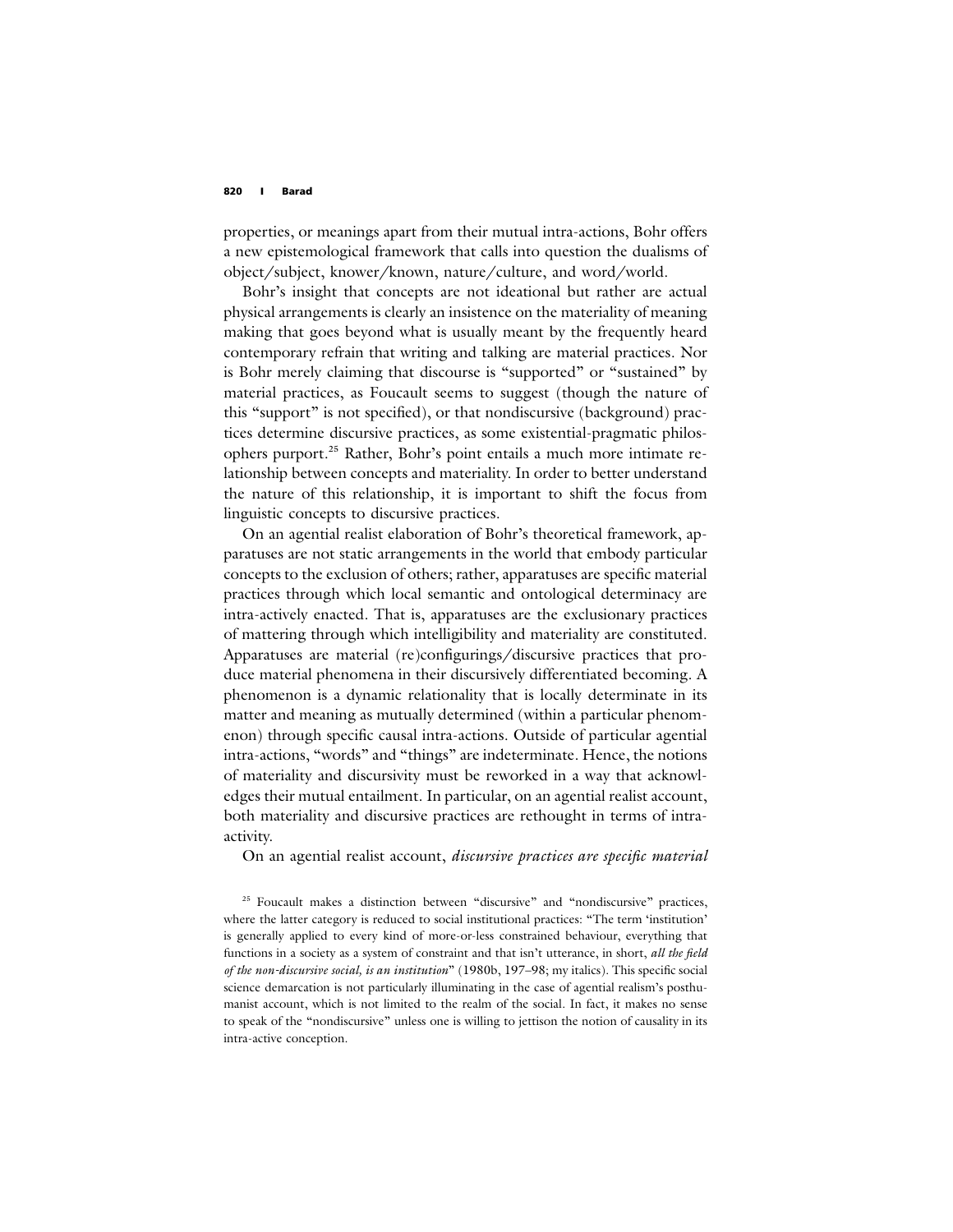### 820 l Barad

properties, or meanings apart from their mutual intra-actions, Bohr offers a new epistemological framework that calls into question the dualisms of object/subject, knower/known, nature/culture, and word/world.

Bohr's insight that concepts are not ideational but rather are actual physical arrangements is clearly an insistence on the materiality of meaning making that goes beyond what is usually meant by the frequently heard contemporary refrain that writing and talking are material practices. Nor is Bohr merely claiming that discourse is "supported" or "sustained" by material practices, as Foucault seems to suggest (though the nature of this "support" is not specified), or that nondiscursive (background) practices determine discursive practices, as some existential-pragmatic philosophers purport.25 Rather, Bohr's point entails a much more intimate relationship between concepts and materiality. In order to better understand the nature of this relationship, it is important to shift the focus from linguistic concepts to discursive practices.

On an agential realist elaboration of Bohr's theoretical framework, apparatuses are not static arrangements in the world that embody particular concepts to the exclusion of others; rather, apparatuses are specific material practices through which local semantic and ontological determinacy are intra-actively enacted. That is, apparatuses are the exclusionary practices of mattering through which intelligibility and materiality are constituted. Apparatuses are material (re)configurings/discursive practices that produce material phenomena in their discursively differentiated becoming. A phenomenon is a dynamic relationality that is locally determinate in its matter and meaning as mutually determined (within a particular phenomenon) through specific causal intra-actions. Outside of particular agential intra-actions, "words" and "things" are indeterminate. Hence, the notions of materiality and discursivity must be reworked in a way that acknowledges their mutual entailment. In particular, on an agential realist account, both materiality and discursive practices are rethought in terms of intraactivity.

On an agential realist account, *discursive practices are specific material*

<sup>25</sup> Foucault makes a distinction between "discursive" and "nondiscursive" practices, where the latter category is reduced to social institutional practices: "The term 'institution' is generally applied to every kind of more-or-less constrained behaviour, everything that functions in a society as a system of constraint and that isn't utterance, in short, *all the field of the non-discursive social, is an institution*" (1980b, 197–98; my italics). This specific social science demarcation is not particularly illuminating in the case of agential realism's posthumanist account, which is not limited to the realm of the social. In fact, it makes no sense to speak of the "nondiscursive" unless one is willing to jettison the notion of causality in its intra-active conception.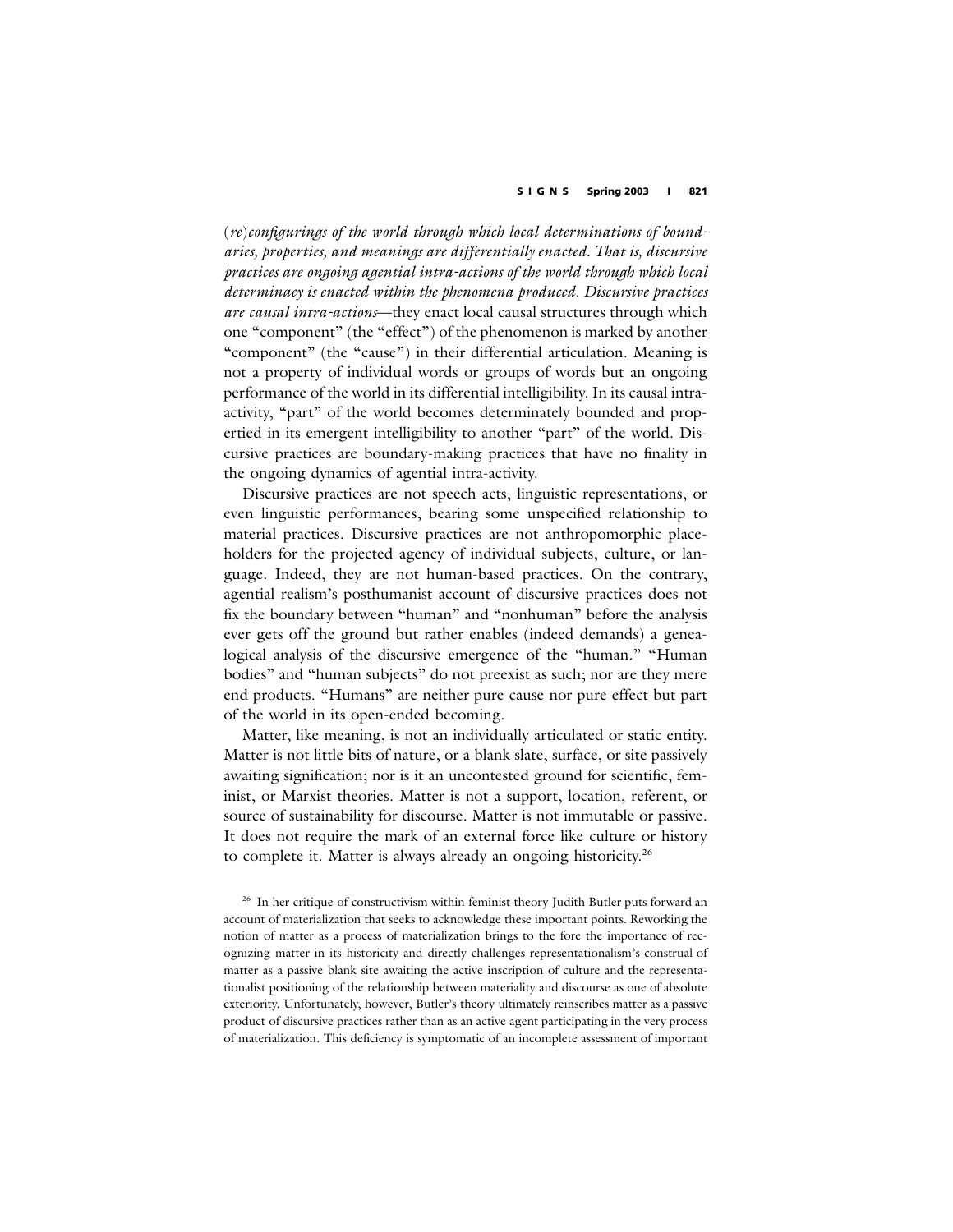### S I G N S Spring 2003 | 821

(*re*)*configurings of the world through which local determinations of boundaries, properties, and meanings are differentially enacted. That is, discursive practices are ongoing agential intra-actions of the world through which local determinacy is enacted within the phenomena produced. Discursive practices are causal intra-actions*—they enact local causal structures through which one "component" (the "effect") of the phenomenon is marked by another "component" (the "cause") in their differential articulation. Meaning is not a property of individual words or groups of words but an ongoing performance of the world in its differential intelligibility. In its causal intraactivity, "part" of the world becomes determinately bounded and propertied in its emergent intelligibility to another "part" of the world. Discursive practices are boundary-making practices that have no finality in the ongoing dynamics of agential intra-activity.

Discursive practices are not speech acts, linguistic representations, or even linguistic performances, bearing some unspecified relationship to material practices. Discursive practices are not anthropomorphic placeholders for the projected agency of individual subjects, culture, or language. Indeed, they are not human-based practices. On the contrary, agential realism's posthumanist account of discursive practices does not fix the boundary between "human" and "nonhuman" before the analysis ever gets off the ground but rather enables (indeed demands) a genealogical analysis of the discursive emergence of the "human." "Human bodies" and "human subjects" do not preexist as such; nor are they mere end products. "Humans" are neither pure cause nor pure effect but part of the world in its open-ended becoming.

Matter, like meaning, is not an individually articulated or static entity. Matter is not little bits of nature, or a blank slate, surface, or site passively awaiting signification; nor is it an uncontested ground for scientific, feminist, or Marxist theories. Matter is not a support, location, referent, or source of sustainability for discourse. Matter is not immutable or passive. It does not require the mark of an external force like culture or history to complete it. Matter is always already an ongoing historicity.<sup>26</sup>

<sup>&</sup>lt;sup>26</sup> In her critique of constructivism within feminist theory Judith Butler puts forward an account of materialization that seeks to acknowledge these important points. Reworking the notion of matter as a process of materialization brings to the fore the importance of recognizing matter in its historicity and directly challenges representationalism's construal of matter as a passive blank site awaiting the active inscription of culture and the representationalist positioning of the relationship between materiality and discourse as one of absolute exteriority. Unfortunately, however, Butler's theory ultimately reinscribes matter as a passive product of discursive practices rather than as an active agent participating in the very process of materialization. This deficiency is symptomatic of an incomplete assessment of important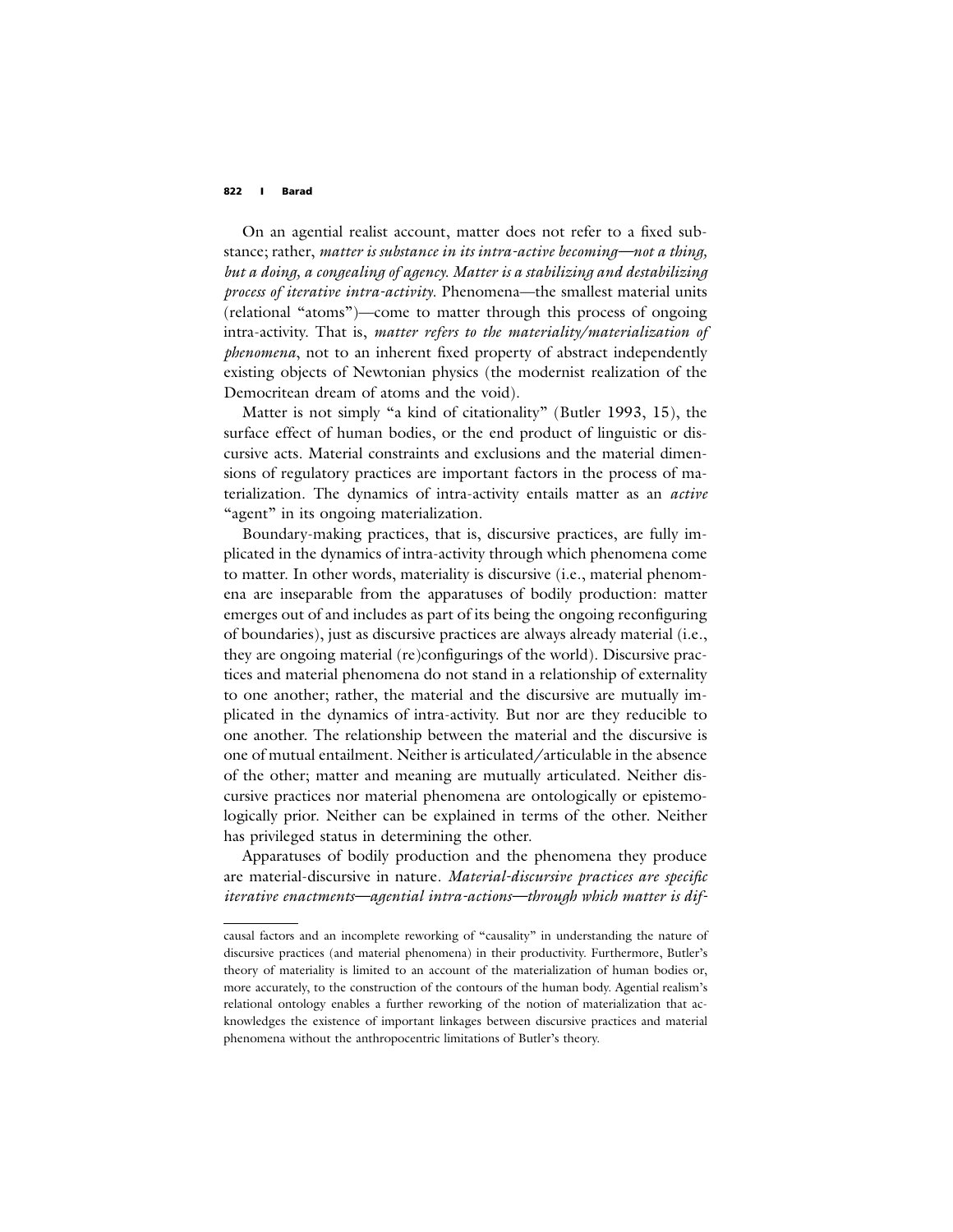On an agential realist account, matter does not refer to a fixed substance; rather, *matter is substance in its intra-active becoming—not a thing, but a doing, a congealing of agency. Matter is a stabilizing and destabilizing process of iterative intra-activity*. Phenomena—the smallest material units (relational "atoms")—come to matter through this process of ongoing intra-activity. That is, *matter refers to the materiality/materialization of phenomena*, not to an inherent fixed property of abstract independently existing objects of Newtonian physics (the modernist realization of the Democritean dream of atoms and the void).

Matter is not simply "a kind of citationality" (Butler 1993, 15), the surface effect of human bodies, or the end product of linguistic or discursive acts. Material constraints and exclusions and the material dimensions of regulatory practices are important factors in the process of materialization. The dynamics of intra-activity entails matter as an *active* "agent" in its ongoing materialization.

Boundary-making practices, that is, discursive practices, are fully implicated in the dynamics of intra-activity through which phenomena come to matter. In other words, materiality is discursive (i.e., material phenomena are inseparable from the apparatuses of bodily production: matter emerges out of and includes as part of its being the ongoing reconfiguring of boundaries), just as discursive practices are always already material (i.e., they are ongoing material (re)configurings of the world). Discursive practices and material phenomena do not stand in a relationship of externality to one another; rather, the material and the discursive are mutually implicated in the dynamics of intra-activity. But nor are they reducible to one another. The relationship between the material and the discursive is one of mutual entailment. Neither is articulated/articulable in the absence of the other; matter and meaning are mutually articulated. Neither discursive practices nor material phenomena are ontologically or epistemologically prior. Neither can be explained in terms of the other. Neither has privileged status in determining the other.

Apparatuses of bodily production and the phenomena they produce are material-discursive in nature. *Material-discursive practices are specific iterative enactments—agential intra-actions—through which matter is dif-*

causal factors and an incomplete reworking of "causality" in understanding the nature of discursive practices (and material phenomena) in their productivity. Furthermore, Butler's theory of materiality is limited to an account of the materialization of human bodies or, more accurately, to the construction of the contours of the human body. Agential realism's relational ontology enables a further reworking of the notion of materialization that acknowledges the existence of important linkages between discursive practices and material phenomena without the anthropocentric limitations of Butler's theory.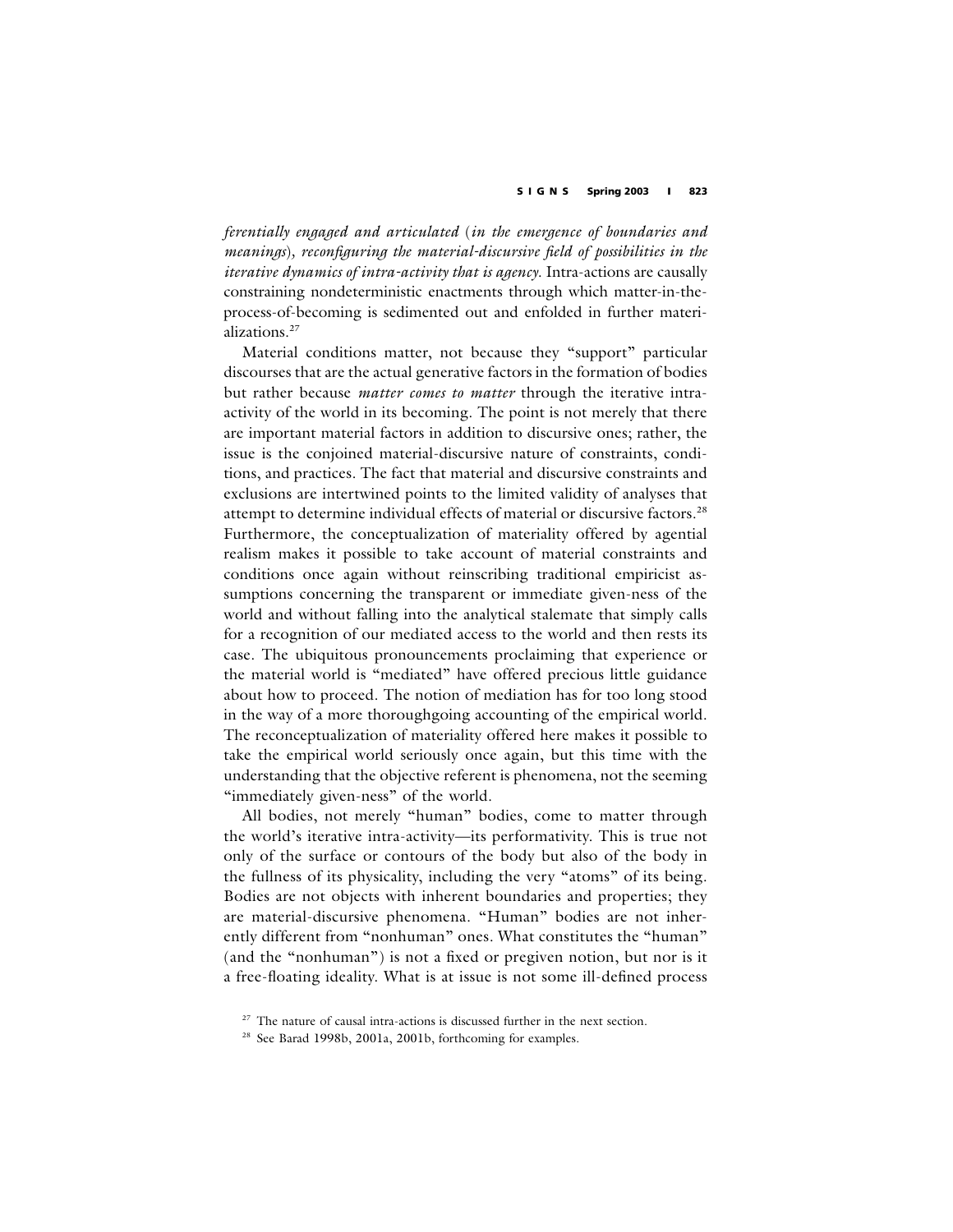### S I G N S Spring 2003 | 823

*ferentially engaged and articulated* (*in the emergence of boundaries and meanings*)*, reconfiguring the material-discursive field of possibilities in the iterative dynamics of intra-activity that is agency*. Intra-actions are causally constraining nondeterministic enactments through which matter-in-theprocess-of-becoming is sedimented out and enfolded in further materializations.27

Material conditions matter, not because they "support" particular discourses that are the actual generative factors in the formation of bodies but rather because *matter comes to matter* through the iterative intraactivity of the world in its becoming. The point is not merely that there are important material factors in addition to discursive ones; rather, the issue is the conjoined material-discursive nature of constraints, conditions, and practices. The fact that material and discursive constraints and exclusions are intertwined points to the limited validity of analyses that attempt to determine individual effects of material or discursive factors.<sup>28</sup> Furthermore, the conceptualization of materiality offered by agential realism makes it possible to take account of material constraints and conditions once again without reinscribing traditional empiricist assumptions concerning the transparent or immediate given-ness of the world and without falling into the analytical stalemate that simply calls for a recognition of our mediated access to the world and then rests its case. The ubiquitous pronouncements proclaiming that experience or the material world is "mediated" have offered precious little guidance about how to proceed. The notion of mediation has for too long stood in the way of a more thoroughgoing accounting of the empirical world. The reconceptualization of materiality offered here makes it possible to take the empirical world seriously once again, but this time with the understanding that the objective referent is phenomena, not the seeming "immediately given-ness" of the world.

All bodies, not merely "human" bodies, come to matter through the world's iterative intra-activity—its performativity. This is true not only of the surface or contours of the body but also of the body in the fullness of its physicality, including the very "atoms" of its being. Bodies are not objects with inherent boundaries and properties; they are material-discursive phenomena. "Human" bodies are not inherently different from "nonhuman" ones. What constitutes the "human" (and the "nonhuman") is not a fixed or pregiven notion, but nor is it a free-floating ideality. What is at issue is not some ill-defined process

<sup>&</sup>lt;sup>27</sup> The nature of causal intra-actions is discussed further in the next section.

<sup>28</sup> See Barad 1998b, 2001a, 2001b, forthcoming for examples.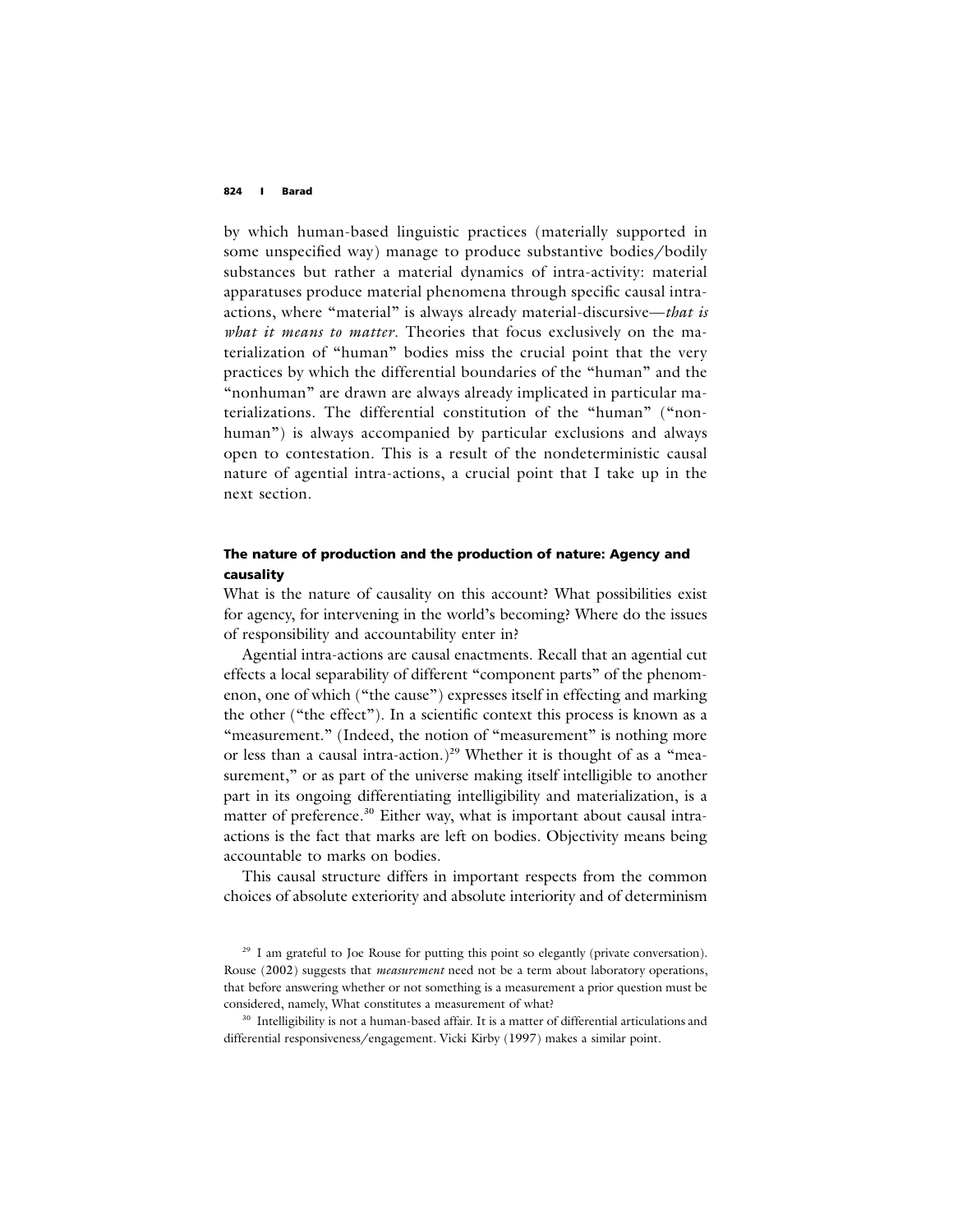by which human-based linguistic practices (materially supported in some unspecified way) manage to produce substantive bodies/bodily substances but rather a material dynamics of intra-activity: material apparatuses produce material phenomena through specific causal intraactions, where "material" is always already material-discursive—*that is what it means to matter*. Theories that focus exclusively on the materialization of "human" bodies miss the crucial point that the very practices by which the differential boundaries of the "human" and the "nonhuman" are drawn are always already implicated in particular materializations. The differential constitution of the "human" ("nonhuman") is always accompanied by particular exclusions and always open to contestation. This is a result of the nondeterministic causal nature of agential intra-actions, a crucial point that I take up in the next section.

## The nature of production and the production of nature: Agency and causality

What is the nature of causality on this account? What possibilities exist for agency, for intervening in the world's becoming? Where do the issues of responsibility and accountability enter in?

Agential intra-actions are causal enactments. Recall that an agential cut effects a local separability of different "component parts" of the phenomenon, one of which ("the cause") expresses itself in effecting and marking the other ("the effect"). In a scientific context this process is known as a "measurement." (Indeed, the notion of "measurement" is nothing more or less than a causal intra-action.)<sup>29</sup> Whether it is thought of as a "measurement," or as part of the universe making itself intelligible to another part in its ongoing differentiating intelligibility and materialization, is a matter of preference.<sup>30</sup> Either way, what is important about causal intraactions is the fact that marks are left on bodies. Objectivity means being accountable to marks on bodies.

This causal structure differs in important respects from the common choices of absolute exteriority and absolute interiority and of determinism

<sup>&</sup>lt;sup>29</sup> I am grateful to Joe Rouse for putting this point so elegantly (private conversation). Rouse (2002) suggests that *measurement* need not be a term about laboratory operations, that before answering whether or not something is a measurement a prior question must be considered, namely, What constitutes a measurement of what?

<sup>&</sup>lt;sup>30</sup> Intelligibility is not a human-based affair. It is a matter of differential articulations and differential responsiveness/engagement. Vicki Kirby (1997) makes a similar point.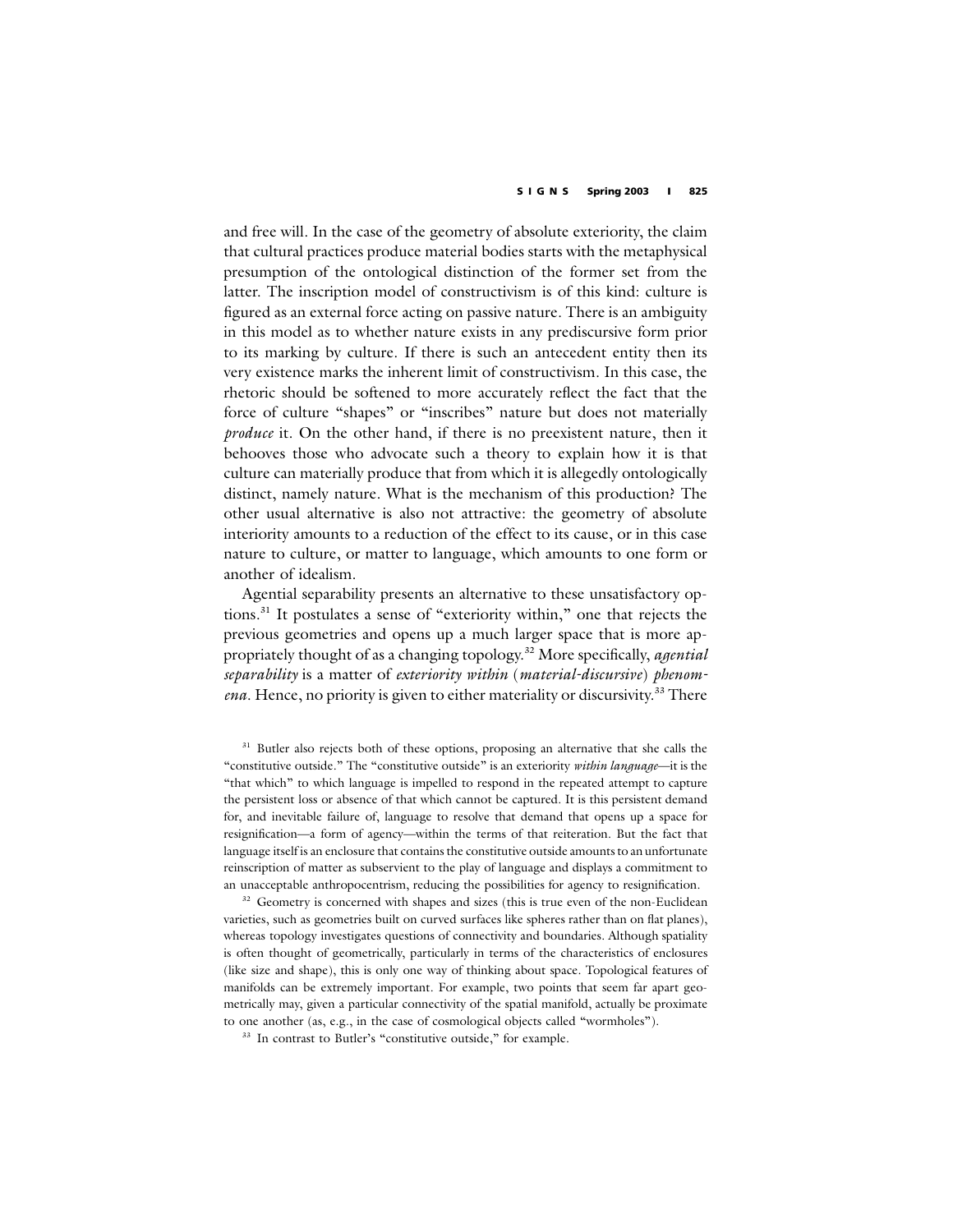and free will. In the case of the geometry of absolute exteriority, the claim that cultural practices produce material bodies starts with the metaphysical presumption of the ontological distinction of the former set from the latter. The inscription model of constructivism is of this kind: culture is figured as an external force acting on passive nature. There is an ambiguity in this model as to whether nature exists in any prediscursive form prior to its marking by culture. If there is such an antecedent entity then its very existence marks the inherent limit of constructivism. In this case, the rhetoric should be softened to more accurately reflect the fact that the force of culture "shapes" or "inscribes" nature but does not materially *produce* it. On the other hand, if there is no preexistent nature, then it behooves those who advocate such a theory to explain how it is that culture can materially produce that from which it is allegedly ontologically distinct, namely nature. What is the mechanism of this production? The other usual alternative is also not attractive: the geometry of absolute interiority amounts to a reduction of the effect to its cause, or in this case nature to culture, or matter to language, which amounts to one form or another of idealism.

Agential separability presents an alternative to these unsatisfactory options.31 It postulates a sense of "exteriority within," one that rejects the previous geometries and opens up a much larger space that is more appropriately thought of as a changing topology.32 More specifically, *agential separability* is a matter of *exteriority within* (*material-discursive*) *phenom*ena. Hence, no priority is given to either materiality or discursivity.<sup>33</sup> There

<sup>31</sup> Butler also rejects both of these options, proposing an alternative that she calls the "constitutive outside." The "constitutive outside" is an exteriority *within language*—it is the "that which" to which language is impelled to respond in the repeated attempt to capture the persistent loss or absence of that which cannot be captured. It is this persistent demand for, and inevitable failure of, language to resolve that demand that opens up a space for resignification—a form of agency—within the terms of that reiteration. But the fact that language itself is an enclosure that contains the constitutive outside amounts to an unfortunate reinscription of matter as subservient to the play of language and displays a commitment to an unacceptable anthropocentrism, reducing the possibilities for agency to resignification.

<sup>32</sup> Geometry is concerned with shapes and sizes (this is true even of the non-Euclidean varieties, such as geometries built on curved surfaces like spheres rather than on flat planes), whereas topology investigates questions of connectivity and boundaries. Although spatiality is often thought of geometrically, particularly in terms of the characteristics of enclosures (like size and shape), this is only one way of thinking about space. Topological features of manifolds can be extremely important. For example, two points that seem far apart geometrically may, given a particular connectivity of the spatial manifold, actually be proximate to one another (as, e.g., in the case of cosmological objects called "wormholes").

<sup>33</sup> In contrast to Butler's "constitutive outside," for example.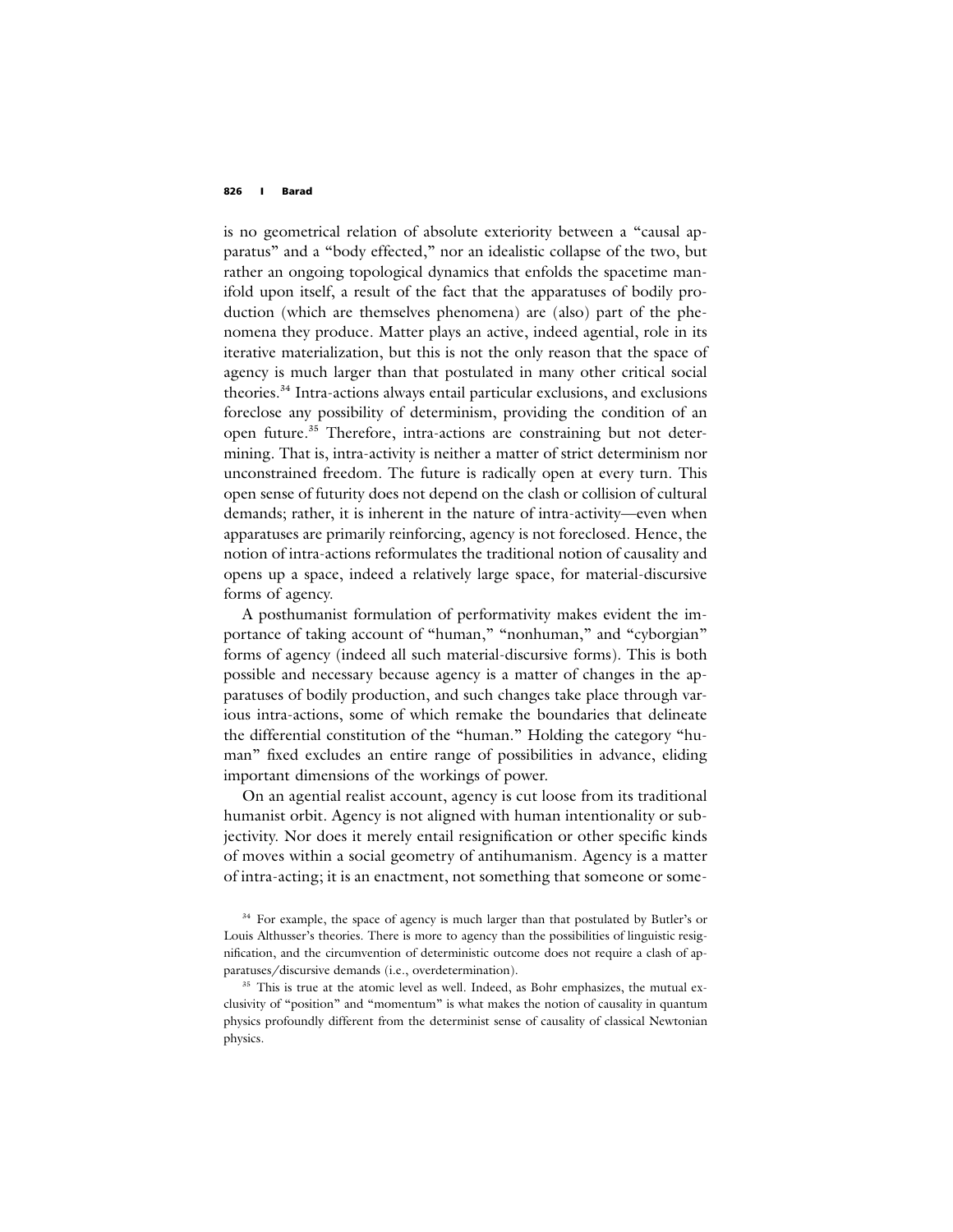is no geometrical relation of absolute exteriority between a "causal apparatus" and a "body effected," nor an idealistic collapse of the two, but rather an ongoing topological dynamics that enfolds the spacetime manifold upon itself, a result of the fact that the apparatuses of bodily production (which are themselves phenomena) are (also) part of the phenomena they produce. Matter plays an active, indeed agential, role in its iterative materialization, but this is not the only reason that the space of agency is much larger than that postulated in many other critical social theories.34 Intra-actions always entail particular exclusions, and exclusions foreclose any possibility of determinism, providing the condition of an open future.35 Therefore, intra-actions are constraining but not determining. That is, intra-activity is neither a matter of strict determinism nor unconstrained freedom. The future is radically open at every turn. This open sense of futurity does not depend on the clash or collision of cultural demands; rather, it is inherent in the nature of intra-activity—even when apparatuses are primarily reinforcing, agency is not foreclosed. Hence, the notion of intra-actions reformulates the traditional notion of causality and opens up a space, indeed a relatively large space, for material-discursive forms of agency.

A posthumanist formulation of performativity makes evident the importance of taking account of "human," "nonhuman," and "cyborgian" forms of agency (indeed all such material-discursive forms). This is both possible and necessary because agency is a matter of changes in the apparatuses of bodily production, and such changes take place through various intra-actions, some of which remake the boundaries that delineate the differential constitution of the "human." Holding the category "human" fixed excludes an entire range of possibilities in advance, eliding important dimensions of the workings of power.

On an agential realist account, agency is cut loose from its traditional humanist orbit. Agency is not aligned with human intentionality or subjectivity. Nor does it merely entail resignification or other specific kinds of moves within a social geometry of antihumanism. Agency is a matter of intra-acting; it is an enactment, not something that someone or some-

<sup>&</sup>lt;sup>34</sup> For example, the space of agency is much larger than that postulated by Butler's or Louis Althusser's theories. There is more to agency than the possibilities of linguistic resignification, and the circumvention of deterministic outcome does not require a clash of apparatuses/discursive demands (i.e., overdetermination).

<sup>&</sup>lt;sup>35</sup> This is true at the atomic level as well. Indeed, as Bohr emphasizes, the mutual exclusivity of "position" and "momentum" is what makes the notion of causality in quantum physics profoundly different from the determinist sense of causality of classical Newtonian physics.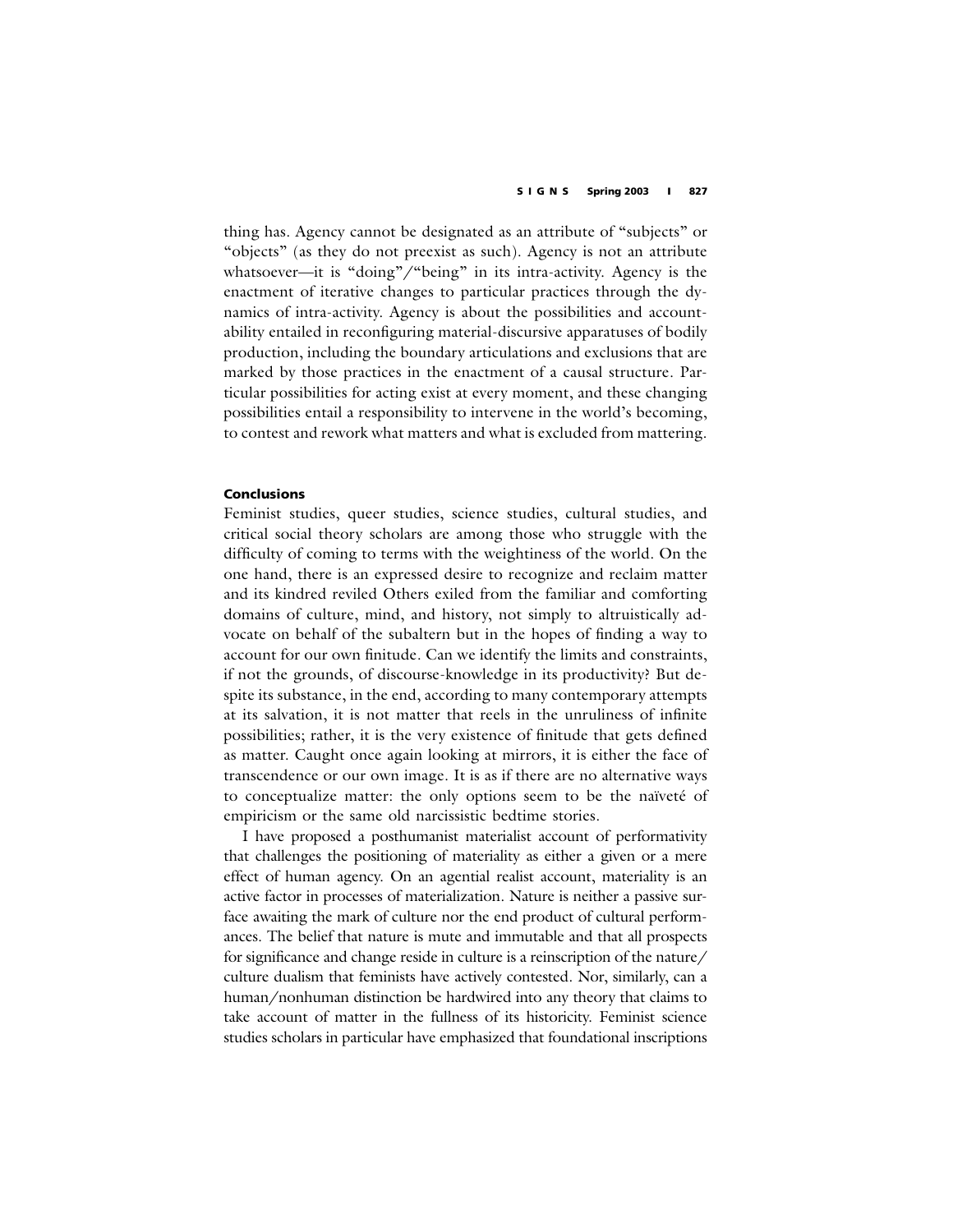thing has. Agency cannot be designated as an attribute of "subjects" or "objects" (as they do not preexist as such). Agency is not an attribute whatsoever—it is "doing"/"being" in its intra-activity. Agency is the enactment of iterative changes to particular practices through the dynamics of intra-activity. Agency is about the possibilities and accountability entailed in reconfiguring material-discursive apparatuses of bodily production, including the boundary articulations and exclusions that are marked by those practices in the enactment of a causal structure. Particular possibilities for acting exist at every moment, and these changing possibilities entail a responsibility to intervene in the world's becoming, to contest and rework what matters and what is excluded from mattering.

### Conclusions

Feminist studies, queer studies, science studies, cultural studies, and critical social theory scholars are among those who struggle with the difficulty of coming to terms with the weightiness of the world. On the one hand, there is an expressed desire to recognize and reclaim matter and its kindred reviled Others exiled from the familiar and comforting domains of culture, mind, and history, not simply to altruistically advocate on behalf of the subaltern but in the hopes of finding a way to account for our own finitude. Can we identify the limits and constraints, if not the grounds, of discourse-knowledge in its productivity? But despite its substance, in the end, according to many contemporary attempts at its salvation, it is not matter that reels in the unruliness of infinite possibilities; rather, it is the very existence of finitude that gets defined as matter. Caught once again looking at mirrors, it is either the face of transcendence or our own image. It is as if there are no alternative ways to conceptualize matter: the only options seem to be the naïveté of empiricism or the same old narcissistic bedtime stories.

I have proposed a posthumanist materialist account of performativity that challenges the positioning of materiality as either a given or a mere effect of human agency. On an agential realist account, materiality is an active factor in processes of materialization. Nature is neither a passive surface awaiting the mark of culture nor the end product of cultural performances. The belief that nature is mute and immutable and that all prospects for significance and change reside in culture is a reinscription of the nature/ culture dualism that feminists have actively contested. Nor, similarly, can a human/nonhuman distinction be hardwired into any theory that claims to take account of matter in the fullness of its historicity. Feminist science studies scholars in particular have emphasized that foundational inscriptions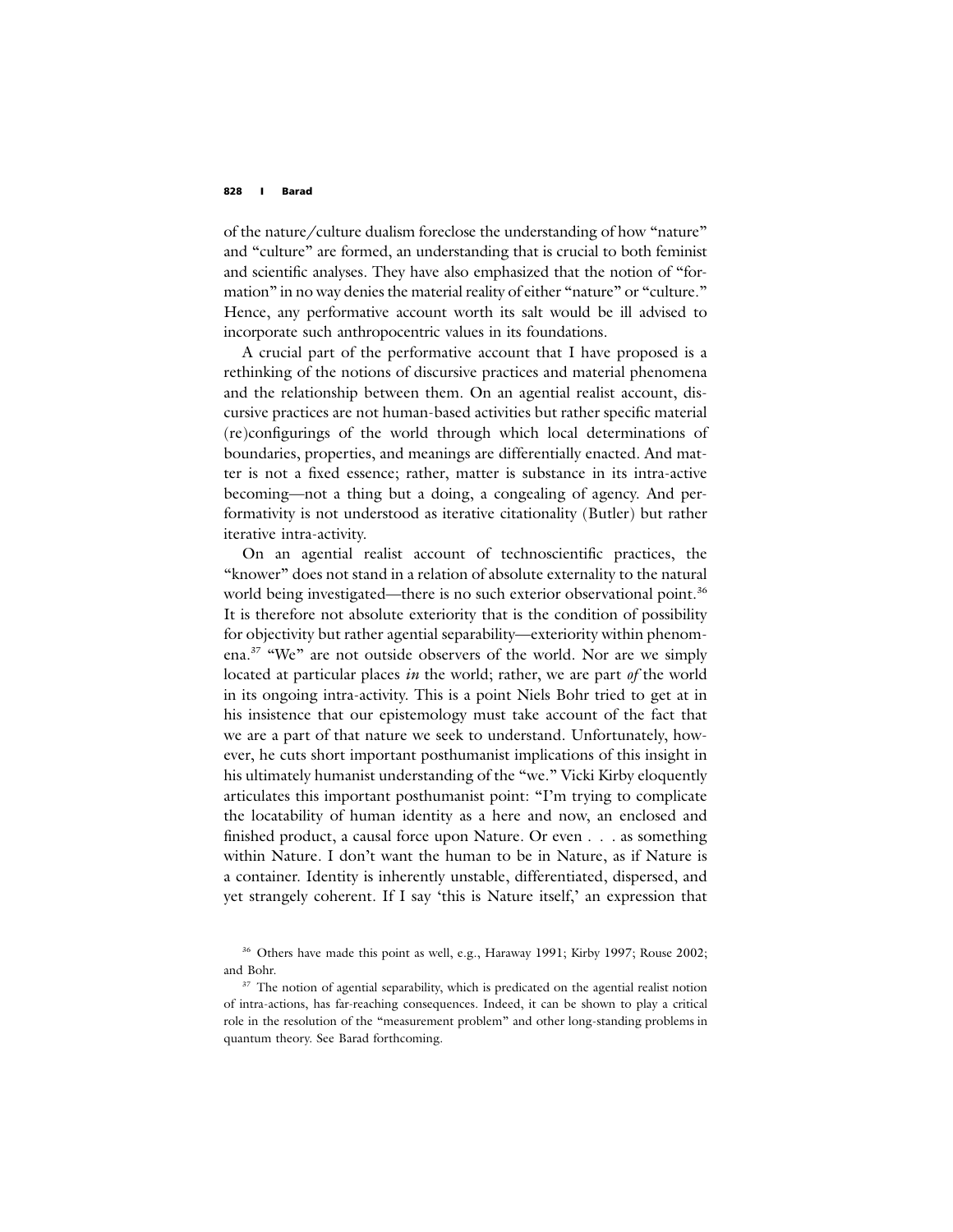### 828 l Barad

of the nature/culture dualism foreclose the understanding of how "nature" and "culture" are formed, an understanding that is crucial to both feminist and scientific analyses. They have also emphasized that the notion of "formation" in no way denies the material reality of either "nature" or "culture." Hence, any performative account worth its salt would be ill advised to incorporate such anthropocentric values in its foundations.

A crucial part of the performative account that I have proposed is a rethinking of the notions of discursive practices and material phenomena and the relationship between them. On an agential realist account, discursive practices are not human-based activities but rather specific material (re)configurings of the world through which local determinations of boundaries, properties, and meanings are differentially enacted. And matter is not a fixed essence; rather, matter is substance in its intra-active becoming—not a thing but a doing, a congealing of agency. And performativity is not understood as iterative citationality (Butler) but rather iterative intra-activity.

On an agential realist account of technoscientific practices, the "knower" does not stand in a relation of absolute externality to the natural world being investigated—there is no such exterior observational point.<sup>36</sup> It is therefore not absolute exteriority that is the condition of possibility for objectivity but rather agential separability—exteriority within phenomena.<sup>37</sup> "We" are not outside observers of the world. Nor are we simply located at particular places *in* the world; rather, we are part *of* the world in its ongoing intra-activity. This is a point Niels Bohr tried to get at in his insistence that our epistemology must take account of the fact that we are a part of that nature we seek to understand. Unfortunately, however, he cuts short important posthumanist implications of this insight in his ultimately humanist understanding of the "we." Vicki Kirby eloquently articulates this important posthumanist point: "I'm trying to complicate the locatability of human identity as a here and now, an enclosed and finished product, a causal force upon Nature. Or even . . . as something within Nature. I don't want the human to be in Nature, as if Nature is a container. Identity is inherently unstable, differentiated, dispersed, and yet strangely coherent. If I say 'this is Nature itself,' an expression that

<sup>36</sup> Others have made this point as well, e.g., Haraway 1991; Kirby 1997; Rouse 2002; and Bohr.

<sup>&</sup>lt;sup>37</sup> The notion of agential separability, which is predicated on the agential realist notion of intra-actions, has far-reaching consequences. Indeed, it can be shown to play a critical role in the resolution of the "measurement problem" and other long-standing problems in quantum theory. See Barad forthcoming.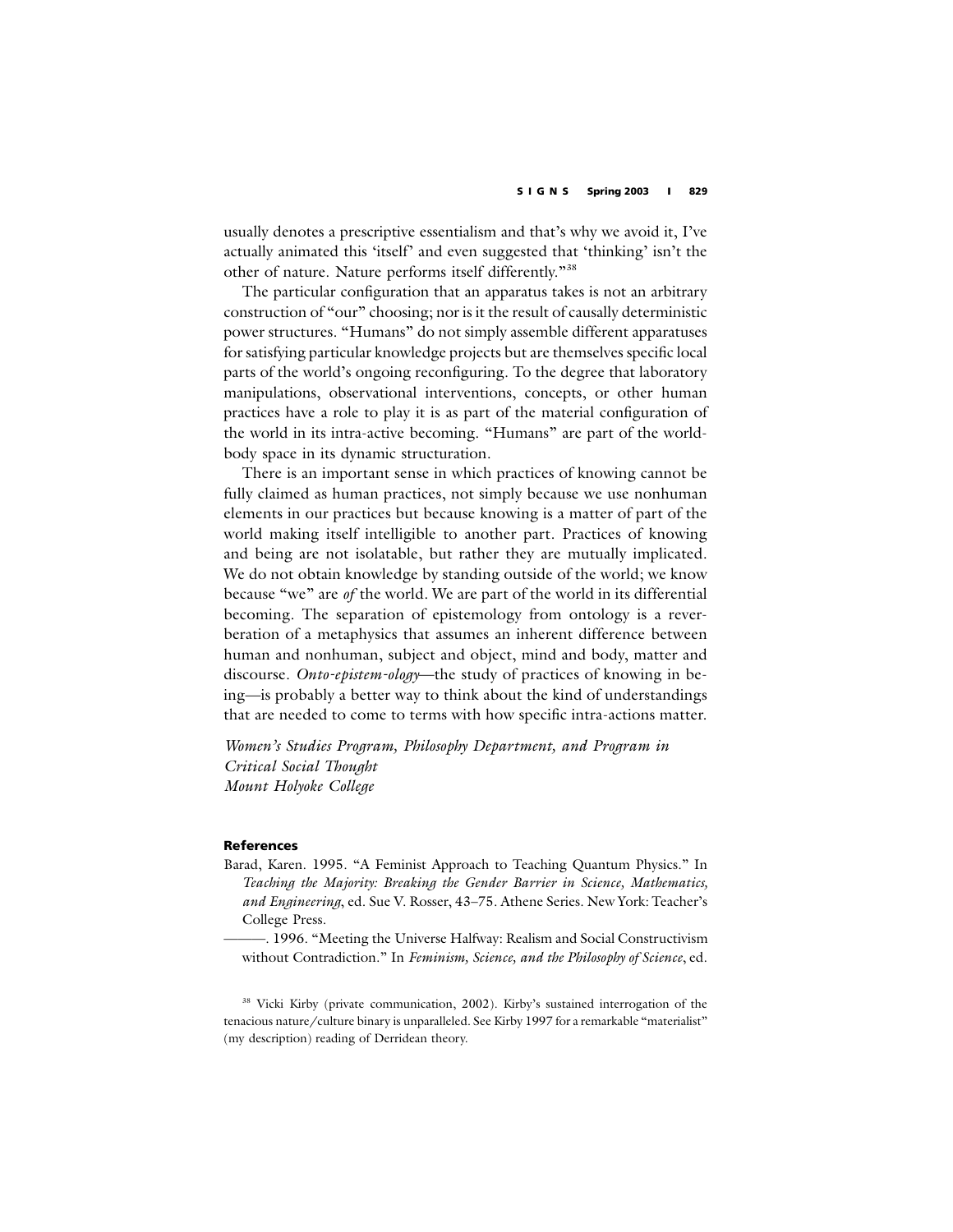usually denotes a prescriptive essentialism and that's why we avoid it, I've actually animated this 'itself' and even suggested that 'thinking' isn't the other of nature. Nature performs itself differently."38

The particular configuration that an apparatus takes is not an arbitrary construction of "our" choosing; nor is it the result of causally deterministic power structures. "Humans" do not simply assemble different apparatuses for satisfying particular knowledge projects but are themselves specific local parts of the world's ongoing reconfiguring. To the degree that laboratory manipulations, observational interventions, concepts, or other human practices have a role to play it is as part of the material configuration of the world in its intra-active becoming. "Humans" are part of the worldbody space in its dynamic structuration.

There is an important sense in which practices of knowing cannot be fully claimed as human practices, not simply because we use nonhuman elements in our practices but because knowing is a matter of part of the world making itself intelligible to another part. Practices of knowing and being are not isolatable, but rather they are mutually implicated. We do not obtain knowledge by standing outside of the world; we know because "we" are *of* the world. We are part of the world in its differential becoming. The separation of epistemology from ontology is a reverberation of a metaphysics that assumes an inherent difference between human and nonhuman, subject and object, mind and body, matter and discourse. *Onto-epistem-ology*—the study of practices of knowing in being—is probably a better way to think about the kind of understandings that are needed to come to terms with how specific intra-actions matter.

*Women's Studies Program, Philosophy Department, and Program in Critical Social Thought Mount Holyoke College*

#### References

- Barad, Karen. 1995. "A Feminist Approach to Teaching Quantum Physics." In *Teaching the Majority: Breaking the Gender Barrier in Science, Mathematics, and Engineering*, ed. Sue V. Rosser, 43–75. Athene Series. New York: Teacher's College Press.
	- -. 1996. "Meeting the Universe Halfway: Realism and Social Constructivism without Contradiction." In *Feminism, Science, and the Philosophy of Science*, ed.

<sup>38</sup> Vicki Kirby (private communication, 2002). Kirby's sustained interrogation of the tenacious nature/culture binary is unparalleled. See Kirby 1997 for a remarkable "materialist" (my description) reading of Derridean theory.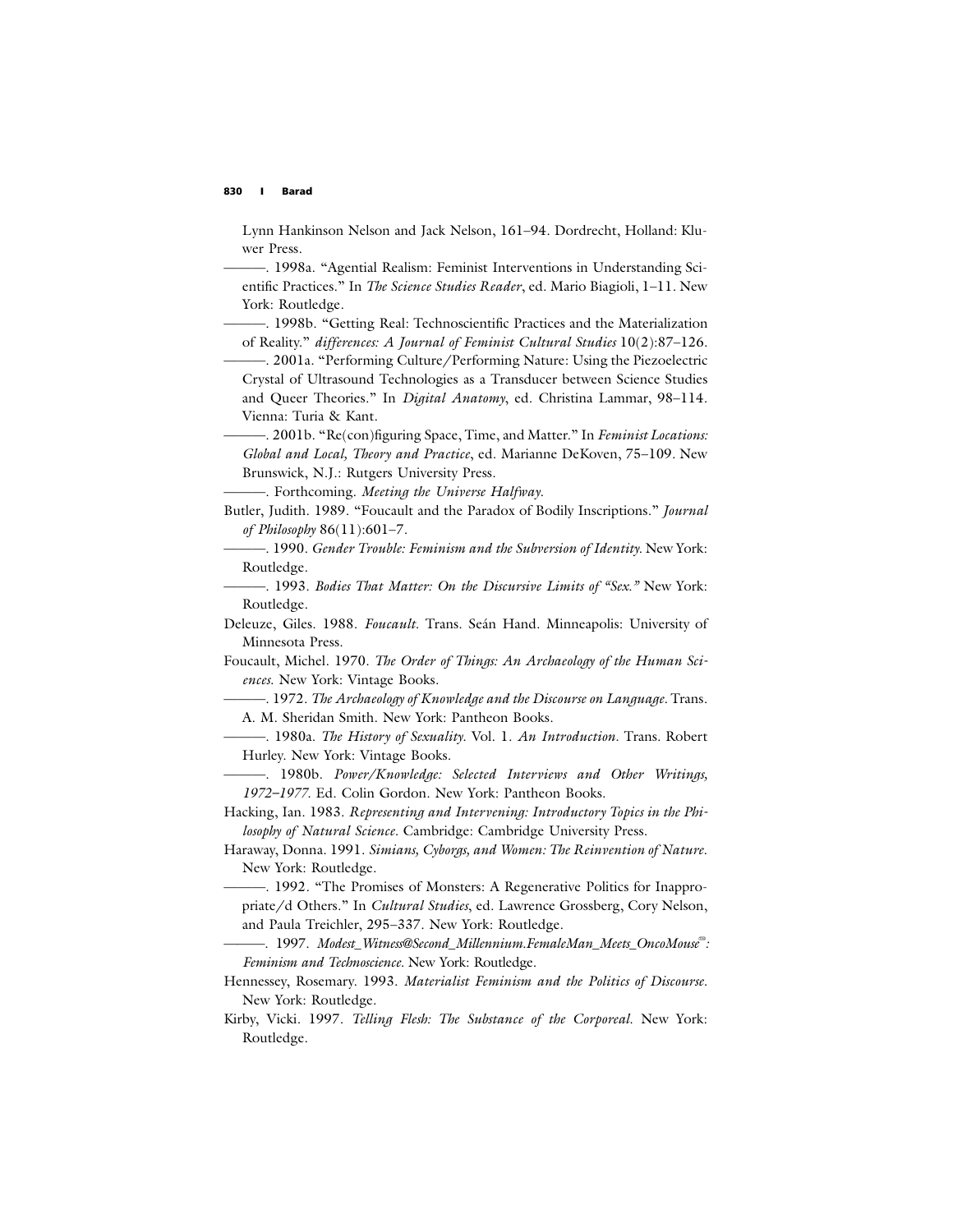Lynn Hankinson Nelson and Jack Nelson, 161–94. Dordrecht, Holland: Kluwer Press.

———. 1998a. "Agential Realism: Feminist Interventions in Understanding Scientific Practices." In *The Science Studies Reader*, ed. Mario Biagioli, 1–11. New York: Routledge.

———. 1998b. "Getting Real: Technoscientific Practices and the Materialization of Reality." *differences: A Journal of Feminist Cultural Studies* 10(2):87–126.

-. 2001a. "Performing Culture/Performing Nature: Using the Piezoelectric Crystal of Ultrasound Technologies as a Transducer between Science Studies and Queer Theories." In *Digital Anatomy*, ed. Christina Lammar, 98–114. Vienna: Turia & Kant.

———. 2001b. "Re(con)figuring Space, Time, and Matter." In *Feminist Locations: Global and Local, Theory and Practice*, ed. Marianne DeKoven, 75–109. New Brunswick, N.J.: Rutgers University Press.

———. Forthcoming. *Meeting the Universe Halfway*.

Butler, Judith. 1989. "Foucault and the Paradox of Bodily Inscriptions." *Journal of Philosophy* 86(11):601–7.

———. 1990. *Gender Trouble: Feminism and the Subversion of Identity.* New York: Routledge.

———. 1993*. Bodies That Matter: On the Discursive Limits of "Sex."* New York: Routledge.

- Deleuze, Giles. 1988. *Foucault*. Trans. Seán Hand. Minneapolis: University of Minnesota Press.
- Foucault, Michel. 1970. *The Order of Things: An Archaeology of the Human Sciences*. New York: Vintage Books.

———. 1972. *The Archaeology of Knowledge and the Discourse on Language*. Trans. A. M. Sheridan Smith. New York: Pantheon Books.

———. 1980a. *The History of Sexuality*. Vol. 1. *An Introduction*. Trans. Robert Hurley. New York: Vintage Books.

———. 1980b. *Power/Knowledge: Selected Interviews and Other Writings, 1972–1977*. Ed. Colin Gordon. New York: Pantheon Books.

Hacking, Ian. 1983. *Representing and Intervening: Introductory Topics in the Philosophy of Natural Science.* Cambridge: Cambridge University Press.

Haraway, Donna. 1991. *Simians, Cyborgs, and Women: The Reinvention of Nature*. New York: Routledge.

-. 1992. "The Promises of Monsters: A Regenerative Politics for Inappropriate/d Others." In *Cultural Studies*, ed. Lawrence Grossberg, Cory Nelson, and Paula Treichler, 295–337. New York: Routledge.

———. 1997. *Modest\_Witness@Second\_Millennium.FemaleMan\_Meets\_OncoMouse*"*: Feminism and Technoscience.* New York: Routledge.

Hennessey, Rosemary. 1993. *Materialist Feminism and the Politics of Discourse*. New York: Routledge.

Kirby, Vicki. 1997. *Telling Flesh: The Substance of the Corporeal*. New York: Routledge.